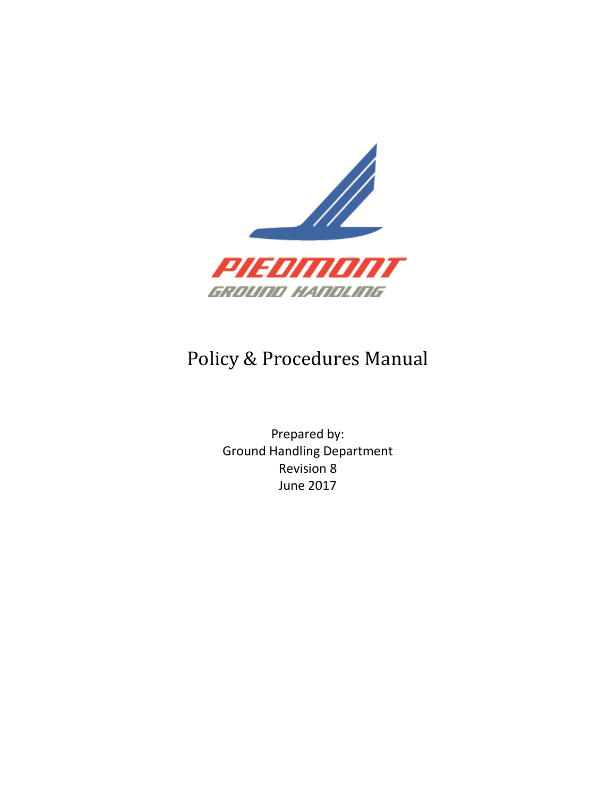

### Policy & Procedures Manual

Prepared by: Ground Handling Department Revision 8 June 2017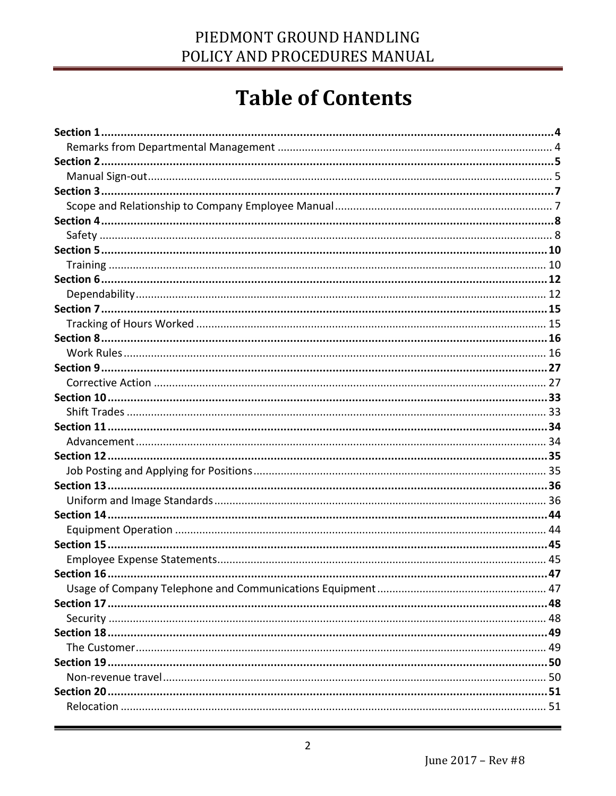# **Table of Contents**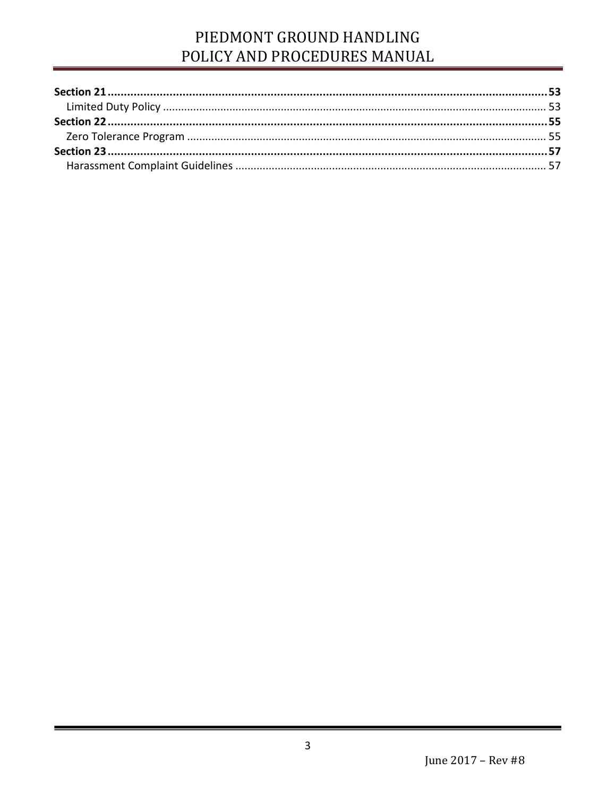### PIEDMONT GROUND HANDLING POLICY AND PROCEDURES MANUAL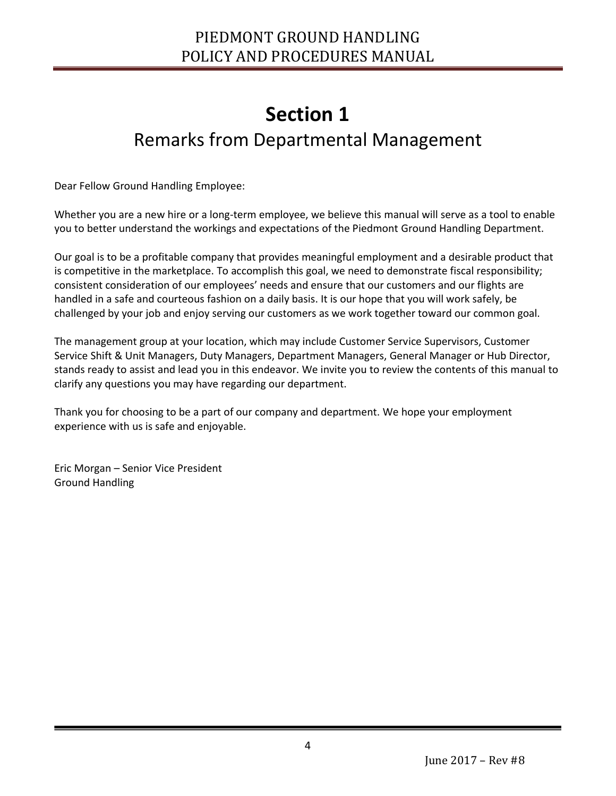### PIEDMONT GROUND HANDLING POLICY AND PROCEDURES MANUAL

### **Section 1** Remarks from Departmental Management

<span id="page-3-1"></span><span id="page-3-0"></span>Dear Fellow Ground Handling Employee:

Whether you are a new hire or a long-term employee, we believe this manual will serve as a tool to enable you to better understand the workings and expectations of the Piedmont Ground Handling Department.

Our goal is to be a profitable company that provides meaningful employment and a desirable product that is competitive in the marketplace. To accomplish this goal, we need to demonstrate fiscal responsibility; consistent consideration of our employees' needs and ensure that our customers and our flights are handled in a safe and courteous fashion on a daily basis. It is our hope that you will work safely, be challenged by your job and enjoy serving our customers as we work together toward our common goal.

The management group at your location, which may include Customer Service Supervisors, Customer Service Shift & Unit Managers, Duty Managers, Department Managers, General Manager or Hub Director, stands ready to assist and lead you in this endeavor. We invite you to review the contents of this manual to clarify any questions you may have regarding our department.

Thank you for choosing to be a part of our company and department. We hope your employment experience with us is safe and enjoyable.

Eric Morgan – Senior Vice President Ground Handling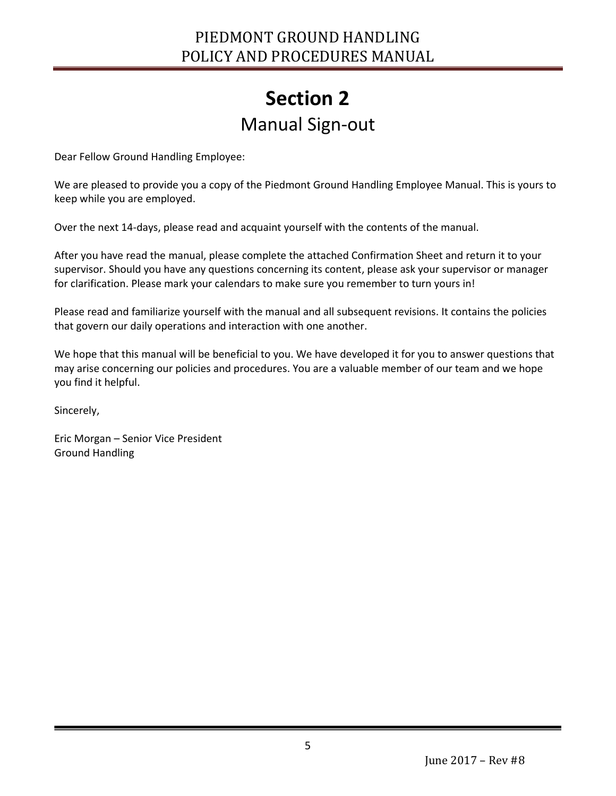### **Section 2** Manual Sign-out

<span id="page-4-1"></span><span id="page-4-0"></span>Dear Fellow Ground Handling Employee:

We are pleased to provide you a copy of the Piedmont Ground Handling Employee Manual. This is yours to keep while you are employed.

Over the next 14-days, please read and acquaint yourself with the contents of the manual.

After you have read the manual, please complete the attached Confirmation Sheet and return it to your supervisor. Should you have any questions concerning its content, please ask your supervisor or manager for clarification. Please mark your calendars to make sure you remember to turn yours in!

Please read and familiarize yourself with the manual and all subsequent revisions. It contains the policies that govern our daily operations and interaction with one another.

We hope that this manual will be beneficial to you. We have developed it for you to answer questions that may arise concerning our policies and procedures. You are a valuable member of our team and we hope you find it helpful.

Sincerely,

Ī

Eric Morgan – Senior Vice President Ground Handling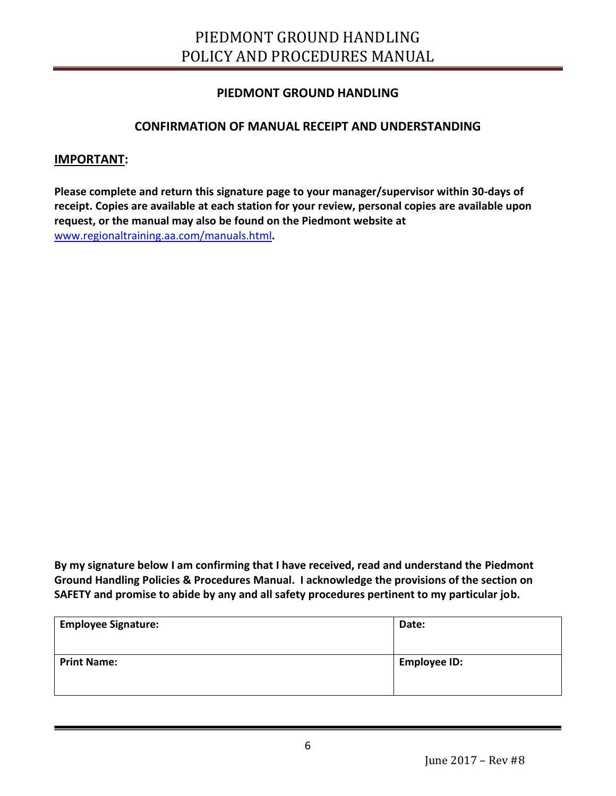### PIEDMONT GROUND HANDLING POLICY AND PROCEDURES MANUAL

#### **PIEDMONT GROUND HANDLING**

#### **CONFIRMATION OF MANUAL RECEIPT AND UNDERSTANDING**

#### **IMPORTANT:**

Ī

**Please complete and return this signature page to your manager/supervisor within 30-days of receipt. Copies are available at each station for your review, personal copies are available upon request, or the manual may also be found on the Piedmont website at**  [www.regionaltraining.aa.com/manuals.html](http://www.regionaltraining.aa.com/manuals.html)**.**

**By my signature below I am confirming that I have received, read and understand the Piedmont Ground Handling Policies & Procedures Manual. I acknowledge the provisions of the section on SAFETY and promise to abide by any and all safety procedures pertinent to my particular job.**

| <b>Employee Signature:</b> | Date:               |
|----------------------------|---------------------|
| <b>Print Name:</b>         | <b>Employee ID:</b> |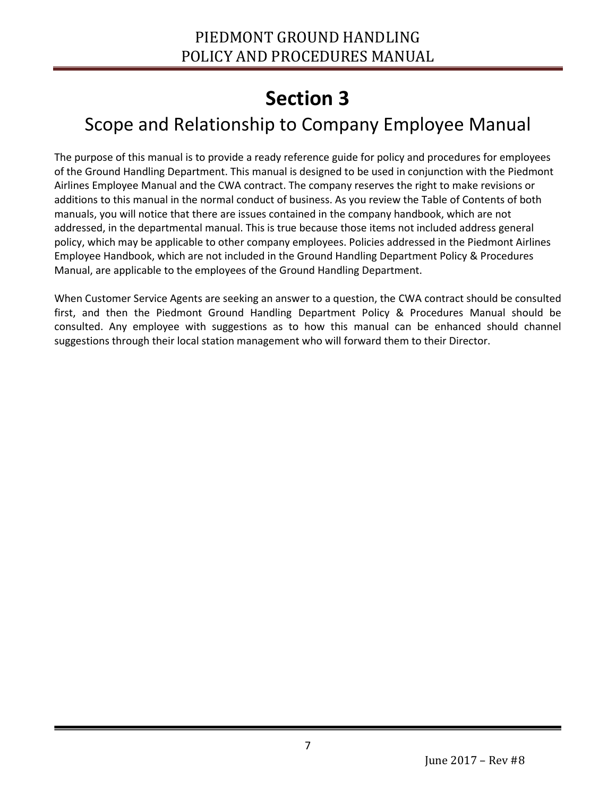### <span id="page-6-1"></span><span id="page-6-0"></span>Scope and Relationship to Company Employee Manual

The purpose of this manual is to provide a ready reference guide for policy and procedures for employees of the Ground Handling Department. This manual is designed to be used in conjunction with the Piedmont Airlines Employee Manual and the CWA contract. The company reserves the right to make revisions or additions to this manual in the normal conduct of business. As you review the Table of Contents of both manuals, you will notice that there are issues contained in the company handbook, which are not addressed, in the departmental manual. This is true because those items not included address general policy, which may be applicable to other company employees. Policies addressed in the Piedmont Airlines Employee Handbook, which are not included in the Ground Handling Department Policy & Procedures Manual, are applicable to the employees of the Ground Handling Department.

When Customer Service Agents are seeking an answer to a question, the CWA contract should be consulted first, and then the Piedmont Ground Handling Department Policy & Procedures Manual should be consulted. Any employee with suggestions as to how this manual can be enhanced should channel suggestions through their local station management who will forward them to their Director.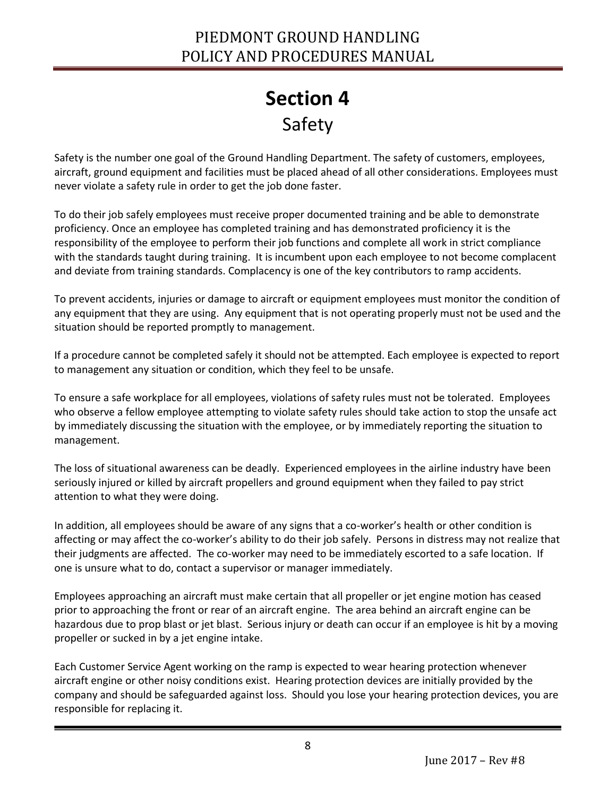## **Section 4** Safety

<span id="page-7-1"></span><span id="page-7-0"></span>Safety is the number one goal of the Ground Handling Department. The safety of customers, employees, aircraft, ground equipment and facilities must be placed ahead of all other considerations. Employees must never violate a safety rule in order to get the job done faster.

To do their job safely employees must receive proper documented training and be able to demonstrate proficiency. Once an employee has completed training and has demonstrated proficiency it is the responsibility of the employee to perform their job functions and complete all work in strict compliance with the standards taught during training. It is incumbent upon each employee to not become complacent and deviate from training standards. Complacency is one of the key contributors to ramp accidents.

To prevent accidents, injuries or damage to aircraft or equipment employees must monitor the condition of any equipment that they are using. Any equipment that is not operating properly must not be used and the situation should be reported promptly to management.

If a procedure cannot be completed safely it should not be attempted. Each employee is expected to report to management any situation or condition, which they feel to be unsafe.

To ensure a safe workplace for all employees, violations of safety rules must not be tolerated. Employees who observe a fellow employee attempting to violate safety rules should take action to stop the unsafe act by immediately discussing the situation with the employee, or by immediately reporting the situation to management.

The loss of situational awareness can be deadly. Experienced employees in the airline industry have been seriously injured or killed by aircraft propellers and ground equipment when they failed to pay strict attention to what they were doing.

In addition, all employees should be aware of any signs that a co-worker's health or other condition is affecting or may affect the co-worker's ability to do their job safely. Persons in distress may not realize that their judgments are affected. The co-worker may need to be immediately escorted to a safe location. If one is unsure what to do, contact a supervisor or manager immediately.

Employees approaching an aircraft must make certain that all propeller or jet engine motion has ceased prior to approaching the front or rear of an aircraft engine. The area behind an aircraft engine can be hazardous due to prop blast or jet blast. Serious injury or death can occur if an employee is hit by a moving propeller or sucked in by a jet engine intake.

Each Customer Service Agent working on the ramp is expected to wear hearing protection whenever aircraft engine or other noisy conditions exist. Hearing protection devices are initially provided by the company and should be safeguarded against loss. Should you lose your hearing protection devices, you are responsible for replacing it.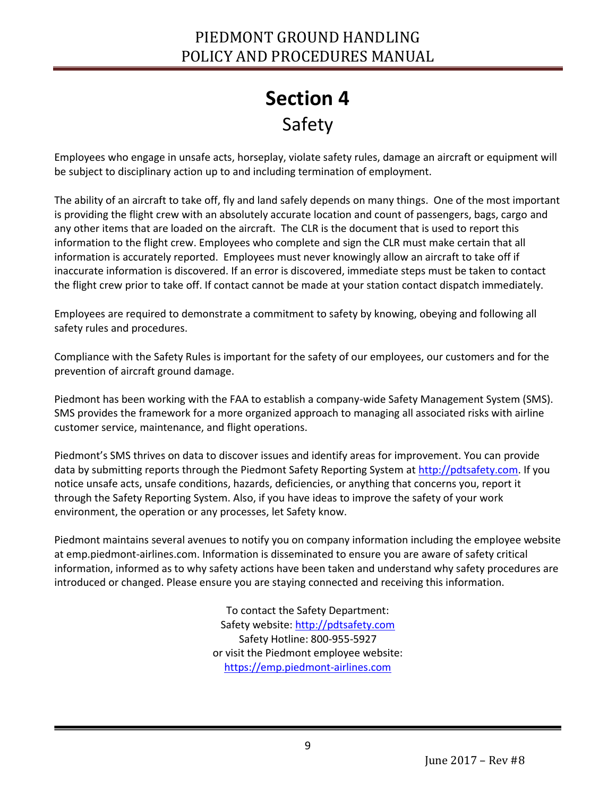### PIEDMONT GROUND HANDLING POLICY AND PROCEDURES MANUAL

## **Section 4** Safety

Employees who engage in unsafe acts, horseplay, violate safety rules, damage an aircraft or equipment will be subject to disciplinary action up to and including termination of employment.

The ability of an aircraft to take off, fly and land safely depends on many things. One of the most important is providing the flight crew with an absolutely accurate location and count of passengers, bags, cargo and any other items that are loaded on the aircraft. The CLR is the document that is used to report this information to the flight crew. Employees who complete and sign the CLR must make certain that all information is accurately reported. Employees must never knowingly allow an aircraft to take off if inaccurate information is discovered. If an error is discovered, immediate steps must be taken to contact the flight crew prior to take off. If contact cannot be made at your station contact dispatch immediately.

Employees are required to demonstrate a commitment to safety by knowing, obeying and following all safety rules and procedures.

Compliance with the Safety Rules is important for the safety of our employees, our customers and for the prevention of aircraft ground damage.

Piedmont has been working with the FAA to establish a company-wide Safety Management System (SMS). SMS provides the framework for a more organized approach to managing all associated risks with airline customer service, maintenance, and flight operations.

Piedmont's SMS thrives on data to discover issues and identify areas for improvement. You can provide data by submitting reports through the Piedmont Safety Reporting System at [http://pdtsafety.com.](http://pdtsafety.com/) If you notice unsafe acts, unsafe conditions, hazards, deficiencies, or anything that concerns you, report it through the Safety Reporting System. Also, if you have ideas to improve the safety of your work environment, the operation or any processes, let Safety know.

Piedmont maintains several avenues to notify you on company information including the employee website at emp.piedmont-airlines.com. Information is disseminated to ensure you are aware of safety critical information, informed as to why safety actions have been taken and understand why safety procedures are introduced or changed. Please ensure you are staying connected and receiving this information.

> To contact the Safety Department: Safety website: [http://pdtsafety.com](http://pdtsafety.com/) Safety Hotline: 800-955-5927 or visit the Piedmont employee website: [https://emp.piedmont-airlines.com](https://emp.piedmont-airlines.com/)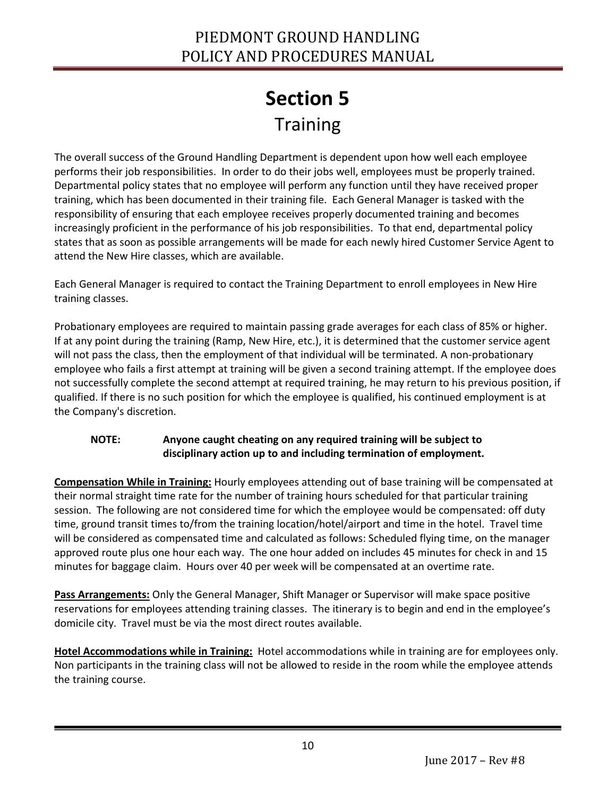# **Section 5 Training**

<span id="page-9-1"></span><span id="page-9-0"></span>The overall success of the Ground Handling Department is dependent upon how well each employee performs their job responsibilities. In order to do their jobs well, employees must be properly trained. Departmental policy states that no employee will perform any function until they have received proper training, which has been documented in their training file. Each General Manager is tasked with the responsibility of ensuring that each employee receives properly documented training and becomes increasingly proficient in the performance of his job responsibilities. To that end, departmental policy states that as soon as possible arrangements will be made for each newly hired Customer Service Agent to attend the New Hire classes, which are available.

Each General Manager is required to contact the Training Department to enroll employees in New Hire training classes.

Probationary employees are required to maintain passing grade averages for each class of 85% or higher. If at any point during the training (Ramp, New Hire, etc.), it is determined that the customer service agent will not pass the class, then the employment of that individual will be terminated. A non-probationary employee who fails a first attempt at training will be given a second training attempt. If the employee does not successfully complete the second attempt at required training, he may return to his previous position, if qualified. If there is no such position for which the employee is qualified, his continued employment is at the Company's discretion.

#### **NOTE: Anyone caught cheating on any required training will be subject to disciplinary action up to and including termination of employment.**

**Compensation While in Training:** Hourly employees attending out of base training will be compensated at their normal straight time rate for the number of training hours scheduled for that particular training session. The following are not considered time for which the employee would be compensated: off duty time, ground transit times to/from the training location/hotel/airport and time in the hotel. Travel time will be considered as compensated time and calculated as follows: Scheduled flying time, on the manager approved route plus one hour each way. The one hour added on includes 45 minutes for check in and 15 minutes for baggage claim. Hours over 40 per week will be compensated at an overtime rate.

**Pass Arrangements:** Only the General Manager, Shift Manager or Supervisor will make space positive reservations for employees attending training classes. The itinerary is to begin and end in the employee's domicile city. Travel must be via the most direct routes available.

**Hotel Accommodations while in Training:** Hotel accommodations while in training are for employees only. Non participants in the training class will not be allowed to reside in the room while the employee attends the training course.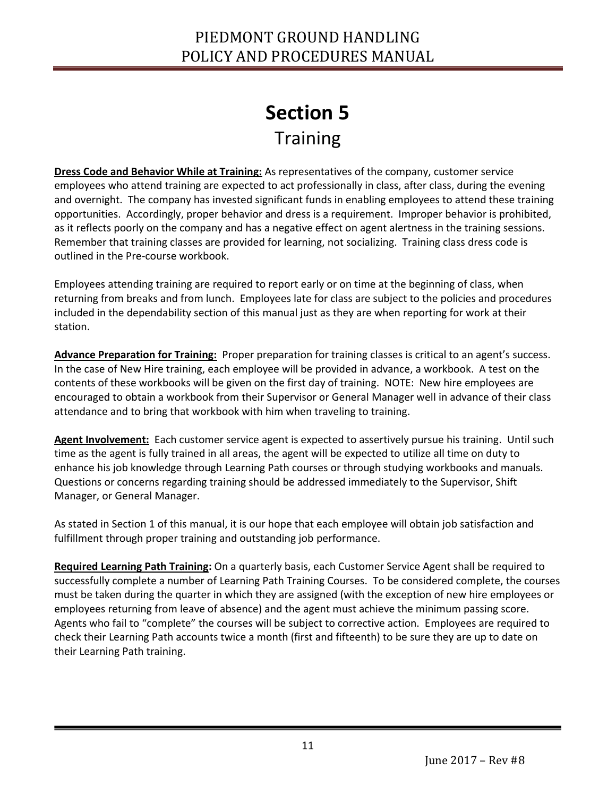## **Section 5** Training

**Dress Code and Behavior While at Training:** As representatives of the company, customer service employees who attend training are expected to act professionally in class, after class, during the evening and overnight. The company has invested significant funds in enabling employees to attend these training opportunities. Accordingly, proper behavior and dress is a requirement. Improper behavior is prohibited, as it reflects poorly on the company and has a negative effect on agent alertness in the training sessions. Remember that training classes are provided for learning, not socializing. Training class dress code is outlined in the Pre-course workbook.

Employees attending training are required to report early or on time at the beginning of class, when returning from breaks and from lunch. Employees late for class are subject to the policies and procedures included in the dependability section of this manual just as they are when reporting for work at their station.

**Advance Preparation for Training:** Proper preparation for training classes is critical to an agent's success. In the case of New Hire training, each employee will be provided in advance, a workbook. A test on the contents of these workbooks will be given on the first day of training. NOTE: New hire employees are encouraged to obtain a workbook from their Supervisor or General Manager well in advance of their class attendance and to bring that workbook with him when traveling to training.

**Agent Involvement:** Each customer service agent is expected to assertively pursue his training. Until such time as the agent is fully trained in all areas, the agent will be expected to utilize all time on duty to enhance his job knowledge through Learning Path courses or through studying workbooks and manuals. Questions or concerns regarding training should be addressed immediately to the Supervisor, Shift Manager, or General Manager.

As stated in Section 1 of this manual, it is our hope that each employee will obtain job satisfaction and fulfillment through proper training and outstanding job performance.

**Required Learning Path Training:** On a quarterly basis, each Customer Service Agent shall be required to successfully complete a number of Learning Path Training Courses. To be considered complete, the courses must be taken during the quarter in which they are assigned (with the exception of new hire employees or employees returning from leave of absence) and the agent must achieve the minimum passing score. Agents who fail to "complete" the courses will be subject to corrective action. Employees are required to check their Learning Path accounts twice a month (first and fifteenth) to be sure they are up to date on their Learning Path training.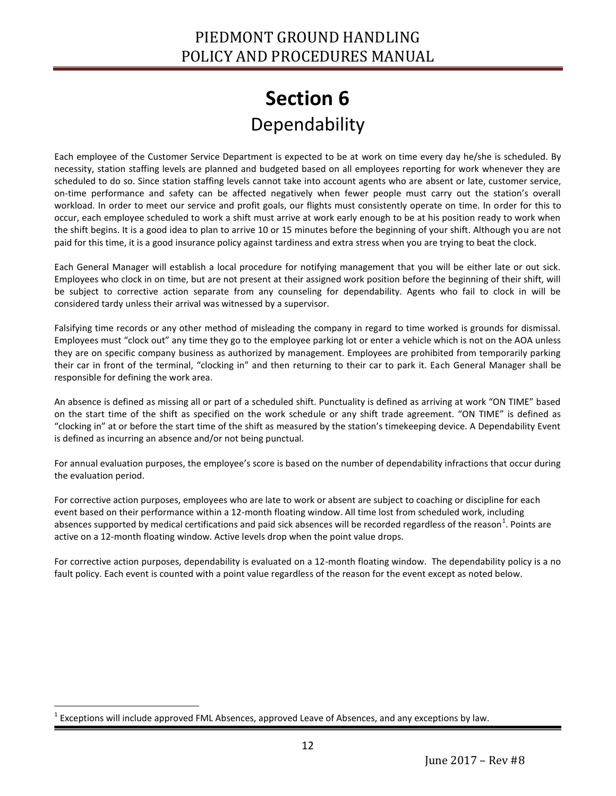### **Section 6** Dependability

<span id="page-11-1"></span><span id="page-11-0"></span>Each employee of the Customer Service Department is expected to be at work on time every day he/she is scheduled. By necessity, station staffing levels are planned and budgeted based on all employees reporting for work whenever they are scheduled to do so. Since station staffing levels cannot take into account agents who are absent or late, customer service, on-time performance and safety can be affected negatively when fewer people must carry out the station's overall workload. In order to meet our service and profit goals, our flights must consistently operate on time. In order for this to occur, each employee scheduled to work a shift must arrive at work early enough to be at his position ready to work when the shift begins. It is a good idea to plan to arrive 10 or 15 minutes before the beginning of your shift. Although you are not paid for this time, it is a good insurance policy against tardiness and extra stress when you are trying to beat the clock.

Each General Manager will establish a local procedure for notifying management that you will be either late or out sick. Employees who clock in on time, but are not present at their assigned work position before the beginning of their shift, will be subject to corrective action separate from any counseling for dependability. Agents who fail to clock in will be considered tardy unless their arrival was witnessed by a supervisor.

Falsifying time records or any other method of misleading the company in regard to time worked is grounds for dismissal. Employees must "clock out" any time they go to the employee parking lot or enter a vehicle which is not on the AOA unless they are on specific company business as authorized by management. Employees are prohibited from temporarily parking their car in front of the terminal, "clocking in" and then returning to their car to park it. Each General Manager shall be responsible for defining the work area.

An absence is defined as missing all or part of a scheduled shift. Punctuality is defined as arriving at work "ON TIME" based on the start time of the shift as specified on the work schedule or any shift trade agreement. "ON TIME" is defined as "clocking in" at or before the start time of the shift as measured by the station's timekeeping device. A Dependability Event is defined as incurring an absence and/or not being punctual.

For annual evaluation purposes, the employee's score is based on the number of dependability infractions that occur during the evaluation period.

For corrective action purposes, employees who are late to work or absent are subject to coaching or discipline for each event based on their performance within a 12-month floating window. All time lost from scheduled work, including absences supported by medical certifications and paid sick absences will be recorded regardless of the reason<sup>1</sup>. Points are active on a 12-month floating window. Active levels drop when the point value drops.

For corrective action purposes, dependability is evaluated on a 12-month floating window. The dependability policy is a no fault policy. Each event is counted with a point value regardless of the reason for the event except as noted below.

 $\overline{a}$ 1 Exceptions will include approved FML Absences, approved Leave of Absences, and any exceptions by law.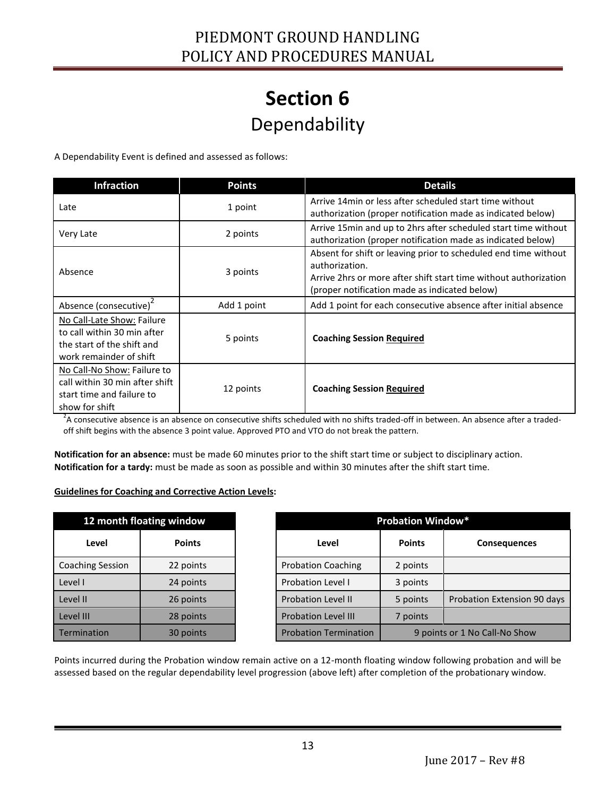### **Section 6** Dependability

A Dependability Event is defined and assessed as follows:

| <b>Infraction</b>                                                                                                  | <b>Points</b> | <b>Details</b>                                                                                                                                                                                         |  |  |
|--------------------------------------------------------------------------------------------------------------------|---------------|--------------------------------------------------------------------------------------------------------------------------------------------------------------------------------------------------------|--|--|
| Late                                                                                                               | 1 point       | Arrive 14min or less after scheduled start time without<br>authorization (proper notification made as indicated below)                                                                                 |  |  |
| Very Late                                                                                                          | 2 points      | Arrive 15 min and up to 2hrs after scheduled start time without<br>authorization (proper notification made as indicated below)                                                                         |  |  |
| Absence                                                                                                            | 3 points      | Absent for shift or leaving prior to scheduled end time without<br>authorization.<br>Arrive 2hrs or more after shift start time without authorization<br>(proper notification made as indicated below) |  |  |
| Absence (consecutive) <sup>2</sup>                                                                                 | Add 1 point   | Add 1 point for each consecutive absence after initial absence                                                                                                                                         |  |  |
| No Call-Late Show: Failure<br>to call within 30 min after<br>the start of the shift and<br>work remainder of shift | 5 points      | <b>Coaching Session Required</b>                                                                                                                                                                       |  |  |
| No Call-No Show: Failure to<br>call within 30 min after shift<br>start time and failure to<br>show for shift       | 12 points     | <b>Coaching Session Required</b>                                                                                                                                                                       |  |  |

 $^2$ A consecutive absence is an absence on consecutive shifts scheduled with no shifts traded-off in between. An absence after a tradedoff shift begins with the absence 3 point value. Approved PTO and VTO do not break the pattern.

**Notification for an absence:** must be made 60 minutes prior to the shift start time or subject to disciplinary action. **Notification for a tardy:** must be made as soon as possible and within 30 minutes after the shift start time.

#### **Guidelines for Coaching and Corrective Action Levels:**

Ī

| 12 month floating window |               | <b>Probation Window*</b>     |               |                               |
|--------------------------|---------------|------------------------------|---------------|-------------------------------|
| Level                    | <b>Points</b> | Level                        | <b>Points</b> | <b>Consequences</b>           |
| <b>Coaching Session</b>  | 22 points     | <b>Probation Coaching</b>    | 2 points      |                               |
| Level I                  | 24 points     | <b>Probation Level I</b>     | 3 points      |                               |
| Level II                 | 26 points     | <b>Probation Level II</b>    | 5 points      | Probation Extension 90 days   |
| Level III                | 28 points     | <b>Probation Level III</b>   | 7 points      |                               |
| Termination              | 30 points     | <b>Probation Termination</b> |               | 9 points or 1 No Call-No Show |

Points incurred during the Probation window remain active on a 12-month floating window following probation and will be assessed based on the regular dependability level progression (above left) after completion of the probationary window.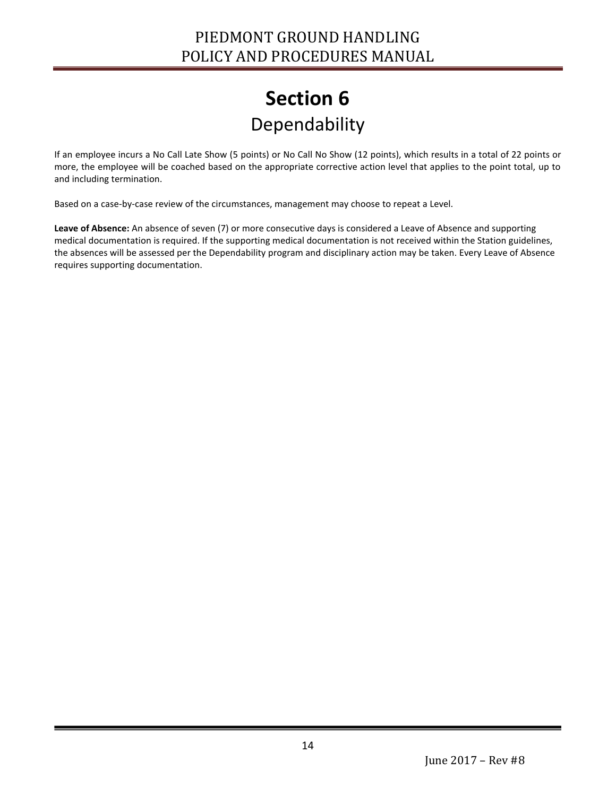## **Section 6** Dependability

If an employee incurs a No Call Late Show (5 points) or No Call No Show (12 points), which results in a total of 22 points or more, the employee will be coached based on the appropriate corrective action level that applies to the point total, up to and including termination.

Based on a case-by-case review of the circumstances, management may choose to repeat a Level.

**Leave of Absence:** An absence of seven (7) or more consecutive days is considered a Leave of Absence and supporting medical documentation is required. If the supporting medical documentation is not received within the Station guidelines, the absences will be assessed per the Dependability program and disciplinary action may be taken. Every Leave of Absence requires supporting documentation.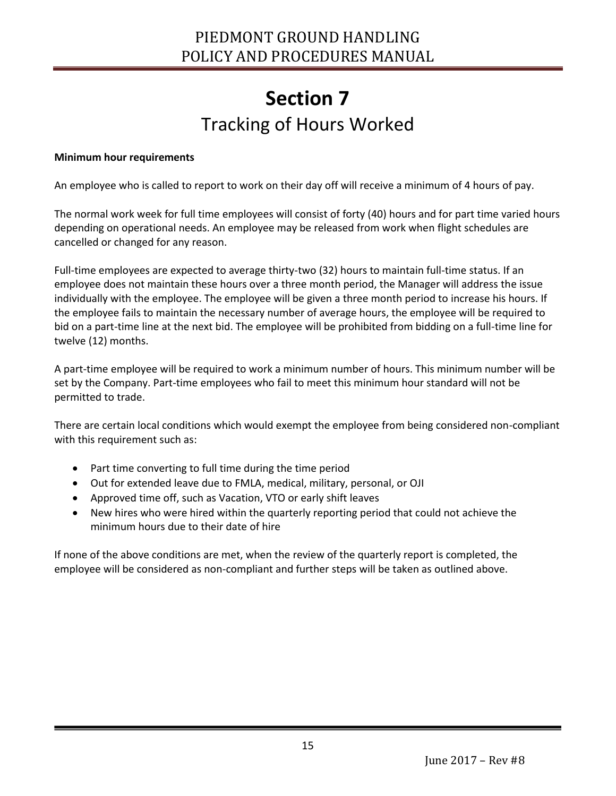### **Section 7** Tracking of Hours Worked

#### <span id="page-14-1"></span><span id="page-14-0"></span>**Minimum hour requirements**

Ī

An employee who is called to report to work on their day off will receive a minimum of 4 hours of pay.

The normal work week for full time employees will consist of forty (40) hours and for part time varied hours depending on operational needs. An employee may be released from work when flight schedules are cancelled or changed for any reason.

Full-time employees are expected to average thirty-two (32) hours to maintain full-time status. If an employee does not maintain these hours over a three month period, the Manager will address the issue individually with the employee. The employee will be given a three month period to increase his hours. If the employee fails to maintain the necessary number of average hours, the employee will be required to bid on a part-time line at the next bid. The employee will be prohibited from bidding on a full-time line for twelve (12) months.

A part-time employee will be required to work a minimum number of hours. This minimum number will be set by the Company. Part-time employees who fail to meet this minimum hour standard will not be permitted to trade.

There are certain local conditions which would exempt the employee from being considered non-compliant with this requirement such as:

- Part time converting to full time during the time period
- Out for extended leave due to FMLA, medical, military, personal, or OJI
- Approved time off, such as Vacation, VTO or early shift leaves
- New hires who were hired within the quarterly reporting period that could not achieve the minimum hours due to their date of hire

If none of the above conditions are met, when the review of the quarterly report is completed, the employee will be considered as non-compliant and further steps will be taken as outlined above.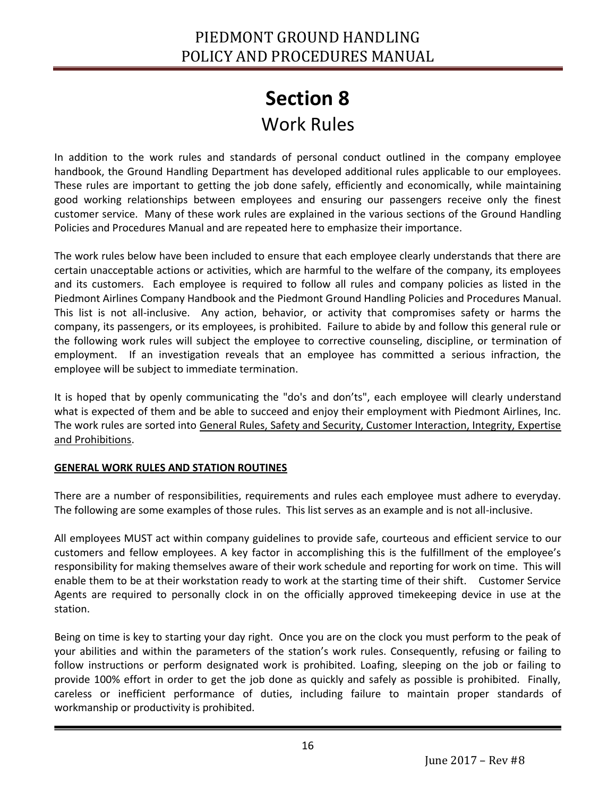<span id="page-15-1"></span><span id="page-15-0"></span>In addition to the work rules and standards of personal conduct outlined in the company employee handbook, the Ground Handling Department has developed additional rules applicable to our employees. These rules are important to getting the job done safely, efficiently and economically, while maintaining good working relationships between employees and ensuring our passengers receive only the finest customer service. Many of these work rules are explained in the various sections of the Ground Handling Policies and Procedures Manual and are repeated here to emphasize their importance.

The work rules below have been included to ensure that each employee clearly understands that there are certain unacceptable actions or activities, which are harmful to the welfare of the company, its employees and its customers. Each employee is required to follow all rules and company policies as listed in the Piedmont Airlines Company Handbook and the Piedmont Ground Handling Policies and Procedures Manual. This list is not all-inclusive. Any action, behavior, or activity that compromises safety or harms the company, its passengers, or its employees, is prohibited. Failure to abide by and follow this general rule or the following work rules will subject the employee to corrective counseling, discipline, or termination of employment. If an investigation reveals that an employee has committed a serious infraction, the employee will be subject to immediate termination.

It is hoped that by openly communicating the "do's and don'ts", each employee will clearly understand what is expected of them and be able to succeed and enjoy their employment with Piedmont Airlines, Inc. The work rules are sorted into General Rules, Safety and Security, Customer Interaction, Integrity, Expertise and Prohibitions.

#### **GENERAL WORK RULES AND STATION ROUTINES**

Ī

There are a number of responsibilities, requirements and rules each employee must adhere to everyday. The following are some examples of those rules. This list serves as an example and is not all-inclusive.

All employees MUST act within company guidelines to provide safe, courteous and efficient service to our customers and fellow employees. A key factor in accomplishing this is the fulfillment of the employee's responsibility for making themselves aware of their work schedule and reporting for work on time. This will enable them to be at their workstation ready to work at the starting time of their shift. Customer Service Agents are required to personally clock in on the officially approved timekeeping device in use at the station.

Being on time is key to starting your day right. Once you are on the clock you must perform to the peak of your abilities and within the parameters of the station's work rules. Consequently, refusing or failing to follow instructions or perform designated work is prohibited. Loafing, sleeping on the job or failing to provide 100% effort in order to get the job done as quickly and safely as possible is prohibited. Finally, careless or inefficient performance of duties, including failure to maintain proper standards of workmanship or productivity is prohibited.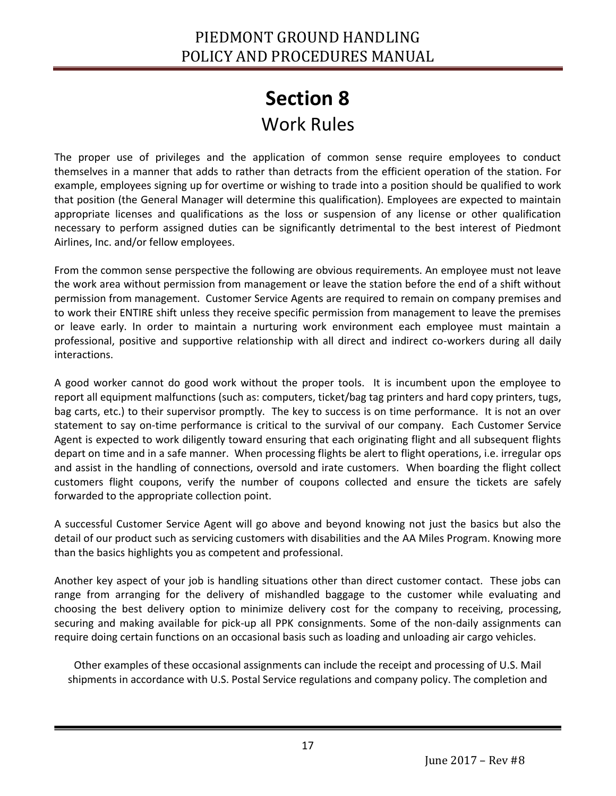The proper use of privileges and the application of common sense require employees to conduct themselves in a manner that adds to rather than detracts from the efficient operation of the station. For example, employees signing up for overtime or wishing to trade into a position should be qualified to work that position (the General Manager will determine this qualification). Employees are expected to maintain appropriate licenses and qualifications as the loss or suspension of any license or other qualification necessary to perform assigned duties can be significantly detrimental to the best interest of Piedmont Airlines, Inc. and/or fellow employees.

From the common sense perspective the following are obvious requirements. An employee must not leave the work area without permission from management or leave the station before the end of a shift without permission from management. Customer Service Agents are required to remain on company premises and to work their ENTIRE shift unless they receive specific permission from management to leave the premises or leave early. In order to maintain a nurturing work environment each employee must maintain a professional, positive and supportive relationship with all direct and indirect co-workers during all daily interactions.

A good worker cannot do good work without the proper tools. It is incumbent upon the employee to report all equipment malfunctions (such as: computers, ticket/bag tag printers and hard copy printers, tugs, bag carts, etc.) to their supervisor promptly. The key to success is on time performance. It is not an over statement to say on-time performance is critical to the survival of our company. Each Customer Service Agent is expected to work diligently toward ensuring that each originating flight and all subsequent flights depart on time and in a safe manner. When processing flights be alert to flight operations, i.e. irregular ops and assist in the handling of connections, oversold and irate customers. When boarding the flight collect customers flight coupons, verify the number of coupons collected and ensure the tickets are safely forwarded to the appropriate collection point.

A successful Customer Service Agent will go above and beyond knowing not just the basics but also the detail of our product such as servicing customers with disabilities and the AA Miles Program. Knowing more than the basics highlights you as competent and professional.

Another key aspect of your job is handling situations other than direct customer contact. These jobs can range from arranging for the delivery of mishandled baggage to the customer while evaluating and choosing the best delivery option to minimize delivery cost for the company to receiving, processing, securing and making available for pick-up all PPK consignments. Some of the non-daily assignments can require doing certain functions on an occasional basis such as loading and unloading air cargo vehicles.

Other examples of these occasional assignments can include the receipt and processing of U.S. Mail shipments in accordance with U.S. Postal Service regulations and company policy. The completion and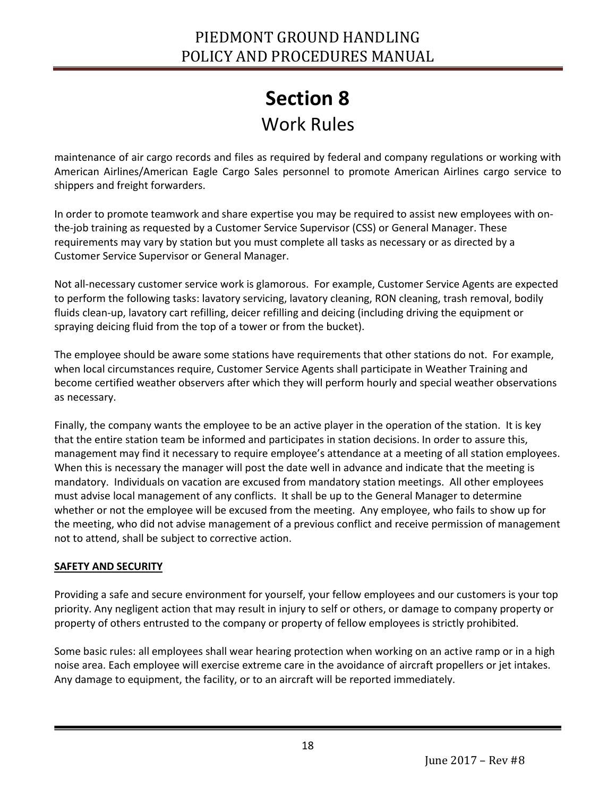maintenance of air cargo records and files as required by federal and company regulations or working with American Airlines/American Eagle Cargo Sales personnel to promote American Airlines cargo service to shippers and freight forwarders.

In order to promote teamwork and share expertise you may be required to assist new employees with onthe-job training as requested by a Customer Service Supervisor (CSS) or General Manager. These requirements may vary by station but you must complete all tasks as necessary or as directed by a Customer Service Supervisor or General Manager.

Not all-necessary customer service work is glamorous. For example, Customer Service Agents are expected to perform the following tasks: lavatory servicing, lavatory cleaning, RON cleaning, trash removal, bodily fluids clean-up, lavatory cart refilling, deicer refilling and deicing (including driving the equipment or spraying deicing fluid from the top of a tower or from the bucket).

The employee should be aware some stations have requirements that other stations do not. For example, when local circumstances require, Customer Service Agents shall participate in Weather Training and become certified weather observers after which they will perform hourly and special weather observations as necessary.

Finally, the company wants the employee to be an active player in the operation of the station. It is key that the entire station team be informed and participates in station decisions. In order to assure this, management may find it necessary to require employee's attendance at a meeting of all station employees. When this is necessary the manager will post the date well in advance and indicate that the meeting is mandatory. Individuals on vacation are excused from mandatory station meetings. All other employees must advise local management of any conflicts. It shall be up to the General Manager to determine whether or not the employee will be excused from the meeting. Any employee, who fails to show up for the meeting, who did not advise management of a previous conflict and receive permission of management not to attend, shall be subject to corrective action.

#### **SAFETY AND SECURITY**

Ī

Providing a safe and secure environment for yourself, your fellow employees and our customers is your top priority. Any negligent action that may result in injury to self or others, or damage to company property or property of others entrusted to the company or property of fellow employees is strictly prohibited.

Some basic rules: all employees shall wear hearing protection when working on an active ramp or in a high noise area. Each employee will exercise extreme care in the avoidance of aircraft propellers or jet intakes. Any damage to equipment, the facility, or to an aircraft will be reported immediately.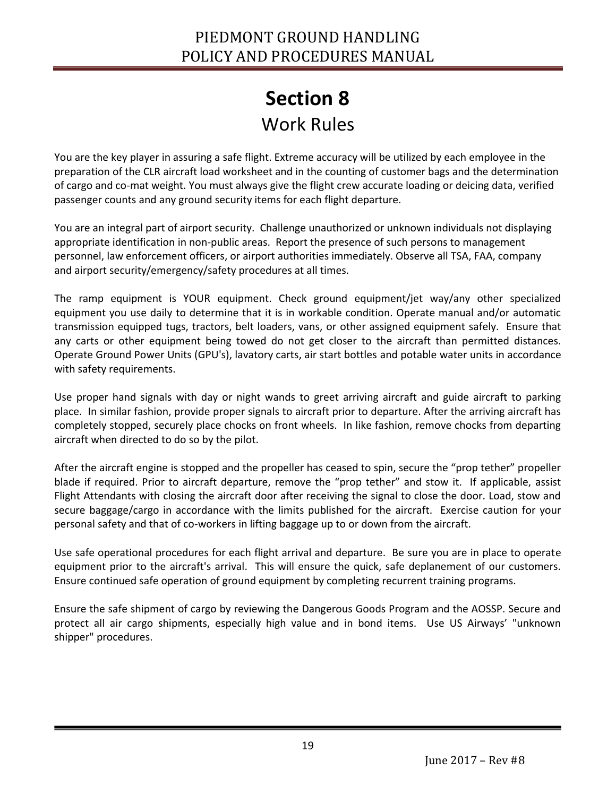You are the key player in assuring a safe flight. Extreme accuracy will be utilized by each employee in the preparation of the CLR aircraft load worksheet and in the counting of customer bags and the determination of cargo and co-mat weight. You must always give the flight crew accurate loading or deicing data, verified passenger counts and any ground security items for each flight departure.

You are an integral part of airport security. Challenge unauthorized or unknown individuals not displaying appropriate identification in non-public areas. Report the presence of such persons to management personnel, law enforcement officers, or airport authorities immediately. Observe all TSA, FAA, company and airport security/emergency/safety procedures at all times.

The ramp equipment is YOUR equipment. Check ground equipment/jet way/any other specialized equipment you use daily to determine that it is in workable condition. Operate manual and/or automatic transmission equipped tugs, tractors, belt loaders, vans, or other assigned equipment safely. Ensure that any carts or other equipment being towed do not get closer to the aircraft than permitted distances. Operate Ground Power Units (GPU's), lavatory carts, air start bottles and potable water units in accordance with safety requirements.

Use proper hand signals with day or night wands to greet arriving aircraft and guide aircraft to parking place. In similar fashion, provide proper signals to aircraft prior to departure. After the arriving aircraft has completely stopped, securely place chocks on front wheels. In like fashion, remove chocks from departing aircraft when directed to do so by the pilot.

After the aircraft engine is stopped and the propeller has ceased to spin, secure the "prop tether" propeller blade if required. Prior to aircraft departure, remove the "prop tether" and stow it. If applicable, assist Flight Attendants with closing the aircraft door after receiving the signal to close the door. Load, stow and secure baggage/cargo in accordance with the limits published for the aircraft. Exercise caution for your personal safety and that of co-workers in lifting baggage up to or down from the aircraft.

Use safe operational procedures for each flight arrival and departure. Be sure you are in place to operate equipment prior to the aircraft's arrival. This will ensure the quick, safe deplanement of our customers. Ensure continued safe operation of ground equipment by completing recurrent training programs.

Ensure the safe shipment of cargo by reviewing the Dangerous Goods Program and the AOSSP. Secure and protect all air cargo shipments, especially high value and in bond items. Use US Airways' "unknown shipper" procedures.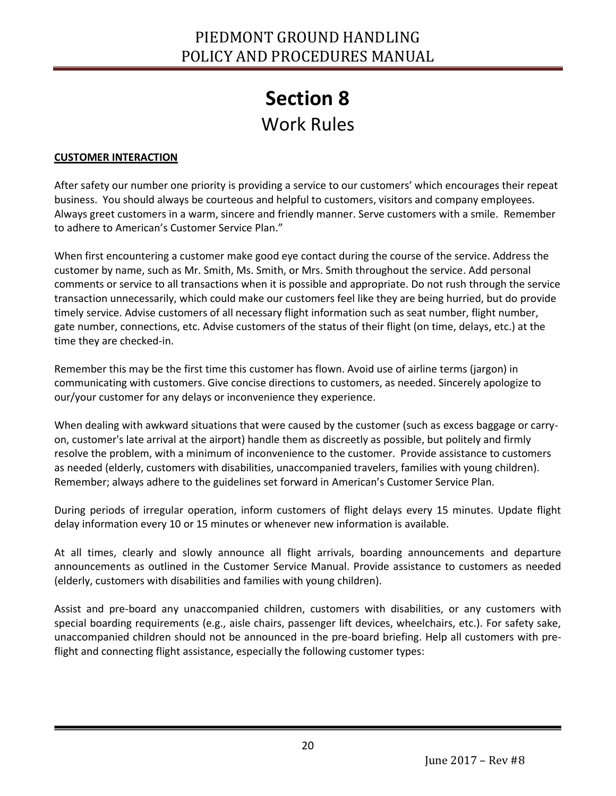#### **CUSTOMER INTERACTION**

Ī

After safety our number one priority is providing a service to our customers' which encourages their repeat business. You should always be courteous and helpful to customers, visitors and company employees. Always greet customers in a warm, sincere and friendly manner. Serve customers with a smile. Remember to adhere to American's Customer Service Plan."

When first encountering a customer make good eye contact during the course of the service. Address the customer by name, such as Mr. Smith, Ms. Smith, or Mrs. Smith throughout the service. Add personal comments or service to all transactions when it is possible and appropriate. Do not rush through the service transaction unnecessarily, which could make our customers feel like they are being hurried, but do provide timely service. Advise customers of all necessary flight information such as seat number, flight number, gate number, connections, etc. Advise customers of the status of their flight (on time, delays, etc.) at the time they are checked-in.

Remember this may be the first time this customer has flown. Avoid use of airline terms (jargon) in communicating with customers. Give concise directions to customers, as needed. Sincerely apologize to our/your customer for any delays or inconvenience they experience.

When dealing with awkward situations that were caused by the customer (such as excess baggage or carryon, customer's late arrival at the airport) handle them as discreetly as possible, but politely and firmly resolve the problem, with a minimum of inconvenience to the customer. Provide assistance to customers as needed (elderly, customers with disabilities, unaccompanied travelers, families with young children). Remember; always adhere to the guidelines set forward in American's Customer Service Plan.

During periods of irregular operation, inform customers of flight delays every 15 minutes. Update flight delay information every 10 or 15 minutes or whenever new information is available.

At all times, clearly and slowly announce all flight arrivals, boarding announcements and departure announcements as outlined in the Customer Service Manual. Provide assistance to customers as needed (elderly, customers with disabilities and families with young children).

Assist and pre-board any unaccompanied children, customers with disabilities, or any customers with special boarding requirements (e.g., aisle chairs, passenger lift devices, wheelchairs, etc.). For safety sake, unaccompanied children should not be announced in the pre-board briefing. Help all customers with preflight and connecting flight assistance, especially the following customer types: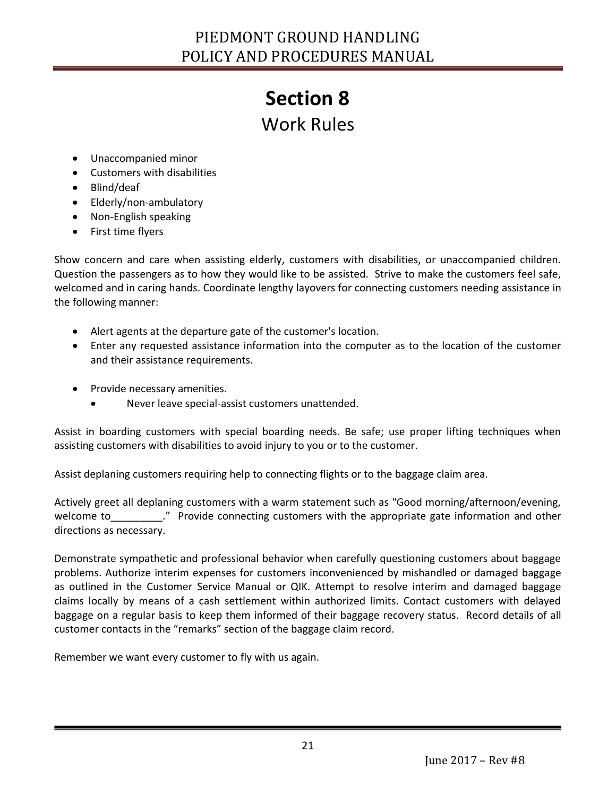### Work Rules

- Unaccompanied minor
- Customers with disabilities
- Blind/deaf
- Elderly/non-ambulatory
- Non-English speaking
- First time flyers

Show concern and care when assisting elderly, customers with disabilities, or unaccompanied children. Question the passengers as to how they would like to be assisted. Strive to make the customers feel safe, welcomed and in caring hands. Coordinate lengthy layovers for connecting customers needing assistance in the following manner:

- Alert agents at the departure gate of the customer's location.
- Enter any requested assistance information into the computer as to the location of the customer and their assistance requirements.
- Provide necessary amenities.
	- Never leave special-assist customers unattended.

Assist in boarding customers with special boarding needs. Be safe; use proper lifting techniques when assisting customers with disabilities to avoid injury to you or to the customer.

Assist deplaning customers requiring help to connecting flights or to the baggage claim area.

Actively greet all deplaning customers with a warm statement such as "Good morning/afternoon/evening, welcome to\_\_\_\_\_\_\_\_\_\_." Provide connecting customers with the appropriate gate information and other directions as necessary.

Demonstrate sympathetic and professional behavior when carefully questioning customers about baggage problems. Authorize interim expenses for customers inconvenienced by mishandled or damaged baggage as outlined in the Customer Service Manual or QIK. Attempt to resolve interim and damaged baggage claims locally by means of a cash settlement within authorized limits. Contact customers with delayed baggage on a regular basis to keep them informed of their baggage recovery status. Record details of all customer contacts in the "remarks" section of the baggage claim record.

Remember we want every customer to fly with us again.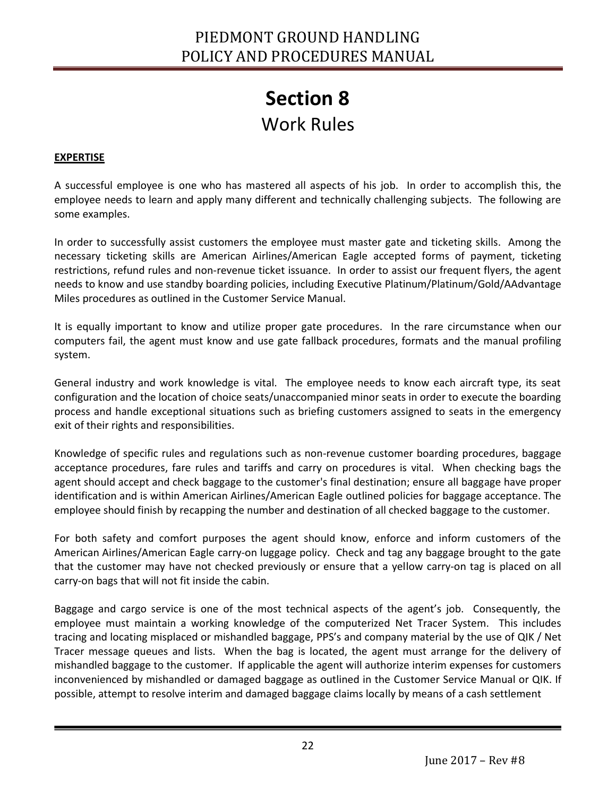#### **EXPERTISE**

Ī

A successful employee is one who has mastered all aspects of his job. In order to accomplish this, the employee needs to learn and apply many different and technically challenging subjects. The following are some examples.

In order to successfully assist customers the employee must master gate and ticketing skills. Among the necessary ticketing skills are American Airlines/American Eagle accepted forms of payment, ticketing restrictions, refund rules and non-revenue ticket issuance. In order to assist our frequent flyers, the agent needs to know and use standby boarding policies, including Executive Platinum/Platinum/Gold/AAdvantage Miles procedures as outlined in the Customer Service Manual.

It is equally important to know and utilize proper gate procedures. In the rare circumstance when our computers fail, the agent must know and use gate fallback procedures, formats and the manual profiling system.

General industry and work knowledge is vital. The employee needs to know each aircraft type, its seat configuration and the location of choice seats/unaccompanied minor seats in order to execute the boarding process and handle exceptional situations such as briefing customers assigned to seats in the emergency exit of their rights and responsibilities.

Knowledge of specific rules and regulations such as non-revenue customer boarding procedures, baggage acceptance procedures, fare rules and tariffs and carry on procedures is vital. When checking bags the agent should accept and check baggage to the customer's final destination; ensure all baggage have proper identification and is within American Airlines/American Eagle outlined policies for baggage acceptance. The employee should finish by recapping the number and destination of all checked baggage to the customer.

For both safety and comfort purposes the agent should know, enforce and inform customers of the American Airlines/American Eagle carry-on luggage policy. Check and tag any baggage brought to the gate that the customer may have not checked previously or ensure that a yellow carry-on tag is placed on all carry-on bags that will not fit inside the cabin.

Baggage and cargo service is one of the most technical aspects of the agent's job. Consequently, the employee must maintain a working knowledge of the computerized Net Tracer System. This includes tracing and locating misplaced or mishandled baggage, PPS's and company material by the use of QIK / Net Tracer message queues and lists. When the bag is located, the agent must arrange for the delivery of mishandled baggage to the customer. If applicable the agent will authorize interim expenses for customers inconvenienced by mishandled or damaged baggage as outlined in the Customer Service Manual or QIK. If possible, attempt to resolve interim and damaged baggage claims locally by means of a cash settlement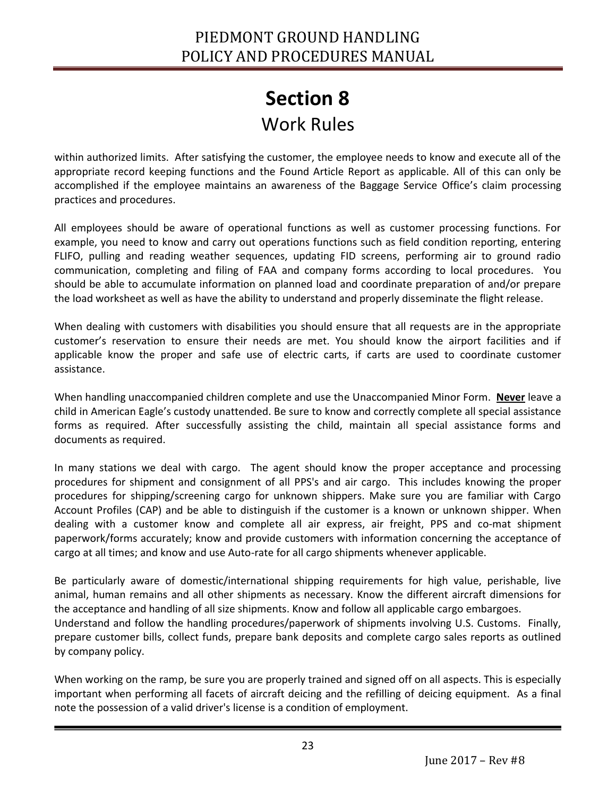within authorized limits. After satisfying the customer, the employee needs to know and execute all of the appropriate record keeping functions and the Found Article Report as applicable. All of this can only be accomplished if the employee maintains an awareness of the Baggage Service Office's claim processing practices and procedures.

All employees should be aware of operational functions as well as customer processing functions. For example, you need to know and carry out operations functions such as field condition reporting, entering FLIFO, pulling and reading weather sequences, updating FID screens, performing air to ground radio communication, completing and filing of FAA and company forms according to local procedures. You should be able to accumulate information on planned load and coordinate preparation of and/or prepare the load worksheet as well as have the ability to understand and properly disseminate the flight release.

When dealing with customers with disabilities you should ensure that all requests are in the appropriate customer's reservation to ensure their needs are met. You should know the airport facilities and if applicable know the proper and safe use of electric carts, if carts are used to coordinate customer assistance.

When handling unaccompanied children complete and use the Unaccompanied Minor Form. **Never** leave a child in American Eagle's custody unattended. Be sure to know and correctly complete all special assistance forms as required. After successfully assisting the child, maintain all special assistance forms and documents as required.

In many stations we deal with cargo. The agent should know the proper acceptance and processing procedures for shipment and consignment of all PPS's and air cargo. This includes knowing the proper procedures for shipping/screening cargo for unknown shippers. Make sure you are familiar with Cargo Account Profiles (CAP) and be able to distinguish if the customer is a known or unknown shipper. When dealing with a customer know and complete all air express, air freight, PPS and co-mat shipment paperwork/forms accurately; know and provide customers with information concerning the acceptance of cargo at all times; and know and use Auto-rate for all cargo shipments whenever applicable.

Be particularly aware of domestic/international shipping requirements for high value, perishable, live animal, human remains and all other shipments as necessary. Know the different aircraft dimensions for the acceptance and handling of all size shipments. Know and follow all applicable cargo embargoes. Understand and follow the handling procedures/paperwork of shipments involving U.S. Customs. Finally, prepare customer bills, collect funds, prepare bank deposits and complete cargo sales reports as outlined by company policy.

When working on the ramp, be sure you are properly trained and signed off on all aspects. This is especially important when performing all facets of aircraft deicing and the refilling of deicing equipment. As a final note the possession of a valid driver's license is a condition of employment.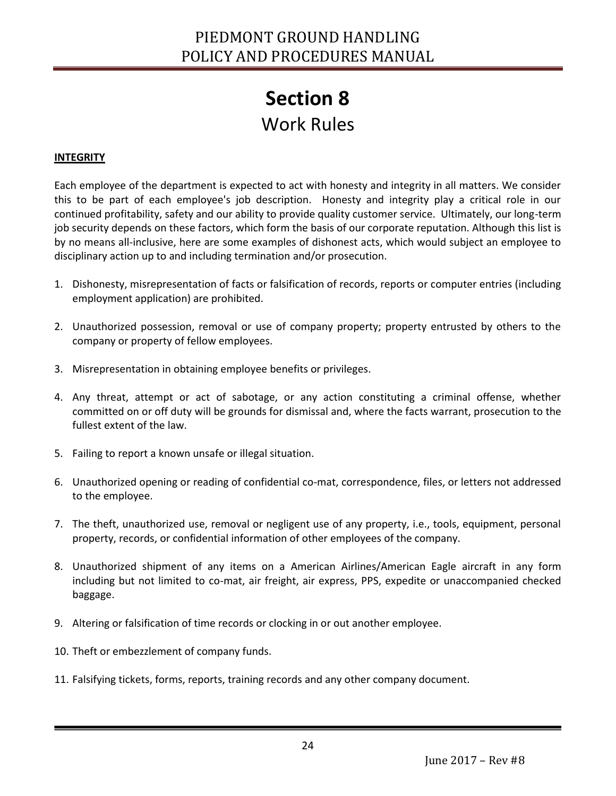#### **INTEGRITY**

Each employee of the department is expected to act with honesty and integrity in all matters. We consider this to be part of each employee's job description. Honesty and integrity play a critical role in our continued profitability, safety and our ability to provide quality customer service. Ultimately, our long-term job security depends on these factors, which form the basis of our corporate reputation. Although this list is by no means all-inclusive, here are some examples of dishonest acts, which would subject an employee to disciplinary action up to and including termination and/or prosecution.

- 1. Dishonesty, misrepresentation of facts or falsification of records, reports or computer entries (including employment application) are prohibited.
- 2. Unauthorized possession, removal or use of company property; property entrusted by others to the company or property of fellow employees.
- 3. Misrepresentation in obtaining employee benefits or privileges.
- 4. Any threat, attempt or act of sabotage, or any action constituting a criminal offense, whether committed on or off duty will be grounds for dismissal and, where the facts warrant, prosecution to the fullest extent of the law.
- 5. Failing to report a known unsafe or illegal situation.
- 6. Unauthorized opening or reading of confidential co-mat, correspondence, files, or letters not addressed to the employee.
- 7. The theft, unauthorized use, removal or negligent use of any property, i.e., tools, equipment, personal property, records, or confidential information of other employees of the company.
- 8. Unauthorized shipment of any items on a American Airlines/American Eagle aircraft in any form including but not limited to co-mat, air freight, air express, PPS, expedite or unaccompanied checked baggage.
- 9. Altering or falsification of time records or clocking in or out another employee.
- 10. Theft or embezzlement of company funds.

Ī

11. Falsifying tickets, forms, reports, training records and any other company document.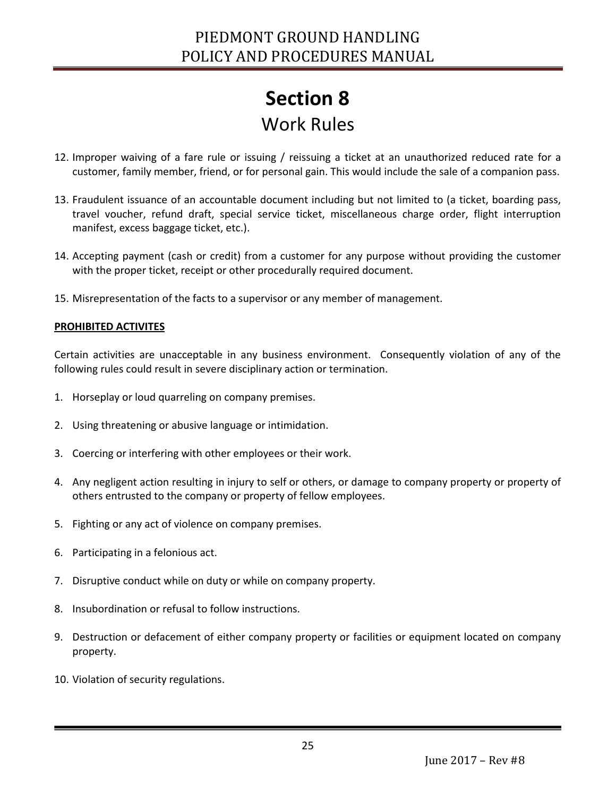- 12. Improper waiving of a fare rule or issuing / reissuing a ticket at an unauthorized reduced rate for a customer, family member, friend, or for personal gain. This would include the sale of a companion pass.
- 13. Fraudulent issuance of an accountable document including but not limited to (a ticket, boarding pass, travel voucher, refund draft, special service ticket, miscellaneous charge order, flight interruption manifest, excess baggage ticket, etc.).
- 14. Accepting payment (cash or credit) from a customer for any purpose without providing the customer with the proper ticket, receipt or other procedurally required document.
- 15. Misrepresentation of the facts to a supervisor or any member of management.

#### **PROHIBITED ACTIVITES**

Certain activities are unacceptable in any business environment. Consequently violation of any of the following rules could result in severe disciplinary action or termination.

- 1. Horseplay or loud quarreling on company premises.
- 2. Using threatening or abusive language or intimidation.
- 3. Coercing or interfering with other employees or their work.
- 4. Any negligent action resulting in injury to self or others, or damage to company property or property of others entrusted to the company or property of fellow employees.
- 5. Fighting or any act of violence on company premises.
- 6. Participating in a felonious act.
- 7. Disruptive conduct while on duty or while on company property.
- 8. Insubordination or refusal to follow instructions.
- 9. Destruction or defacement of either company property or facilities or equipment located on company property.
- 10. Violation of security regulations.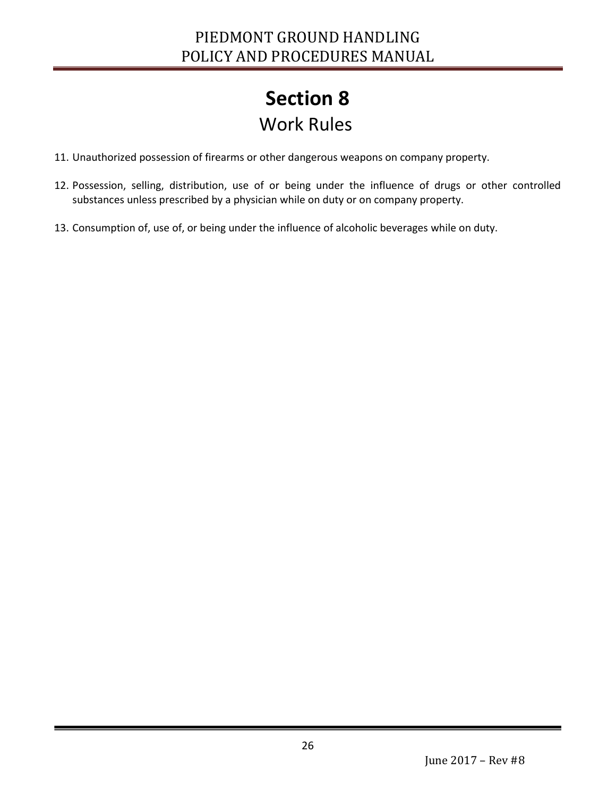- 11. Unauthorized possession of firearms or other dangerous weapons on company property.
- 12. Possession, selling, distribution, use of or being under the influence of drugs or other controlled substances unless prescribed by a physician while on duty or on company property.
- 13. Consumption of, use of, or being under the influence of alcoholic beverages while on duty.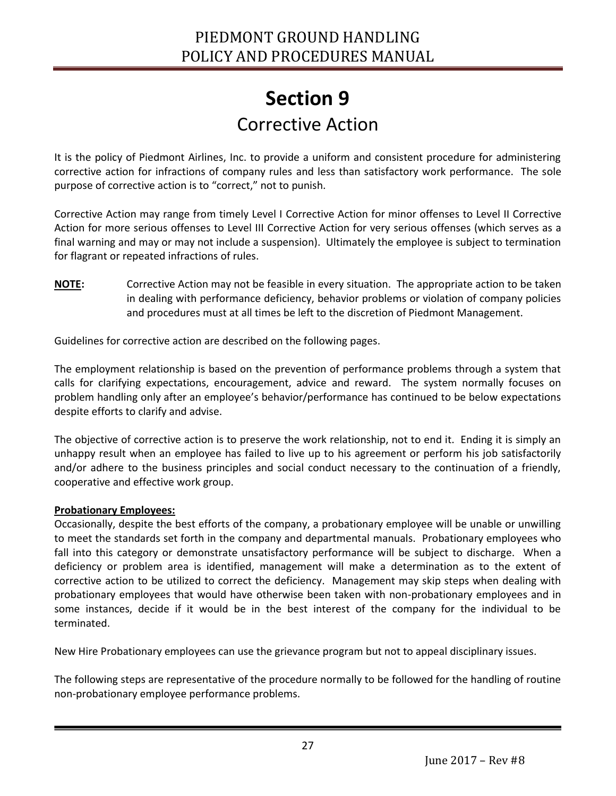### **Section 9** Corrective Action

<span id="page-26-1"></span><span id="page-26-0"></span>It is the policy of Piedmont Airlines, Inc. to provide a uniform and consistent procedure for administering corrective action for infractions of company rules and less than satisfactory work performance. The sole purpose of corrective action is to "correct," not to punish.

Corrective Action may range from timely Level I Corrective Action for minor offenses to Level II Corrective Action for more serious offenses to Level III Corrective Action for very serious offenses (which serves as a final warning and may or may not include a suspension). Ultimately the employee is subject to termination for flagrant or repeated infractions of rules.

**NOTE:** Corrective Action may not be feasible in every situation. The appropriate action to be taken in dealing with performance deficiency, behavior problems or violation of company policies and procedures must at all times be left to the discretion of Piedmont Management.

Guidelines for corrective action are described on the following pages.

The employment relationship is based on the prevention of performance problems through a system that calls for clarifying expectations, encouragement, advice and reward. The system normally focuses on problem handling only after an employee's behavior/performance has continued to be below expectations despite efforts to clarify and advise.

The objective of corrective action is to preserve the work relationship, not to end it. Ending it is simply an unhappy result when an employee has failed to live up to his agreement or perform his job satisfactorily and/or adhere to the business principles and social conduct necessary to the continuation of a friendly, cooperative and effective work group.

#### **Probationary Employees:**

Ī

Occasionally, despite the best efforts of the company, a probationary employee will be unable or unwilling to meet the standards set forth in the company and departmental manuals. Probationary employees who fall into this category or demonstrate unsatisfactory performance will be subject to discharge. When a deficiency or problem area is identified, management will make a determination as to the extent of corrective action to be utilized to correct the deficiency. Management may skip steps when dealing with probationary employees that would have otherwise been taken with non-probationary employees and in some instances, decide if it would be in the best interest of the company for the individual to be terminated.

New Hire Probationary employees can use the grievance program but not to appeal disciplinary issues.

The following steps are representative of the procedure normally to be followed for the handling of routine non-probationary employee performance problems.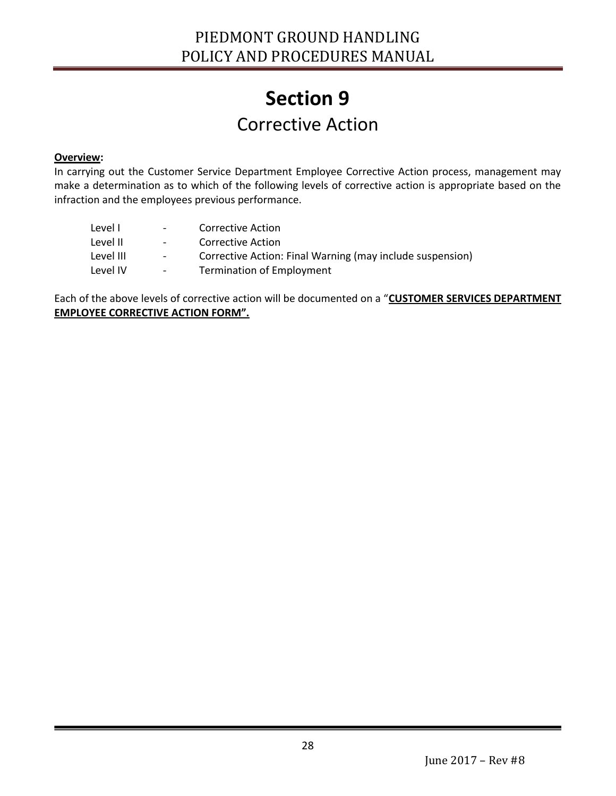### **Section 9** Corrective Action

#### **Overview:**

Ī

In carrying out the Customer Service Department Employee Corrective Action process, management may make a determination as to which of the following levels of corrective action is appropriate based on the infraction and the employees previous performance.

| $\overline{\phantom{a}}$ | Corrective Action                                         |
|--------------------------|-----------------------------------------------------------|
| $\overline{\phantom{a}}$ | Corrective Action                                         |
| $ \,$                    | Corrective Action: Final Warning (may include suspension) |
| $ \,$                    | <b>Termination of Employment</b>                          |
|                          |                                                           |

Each of the above levels of corrective action will be documented on a "**CUSTOMER SERVICES DEPARTMENT EMPLOYEE CORRECTIVE ACTION FORM".**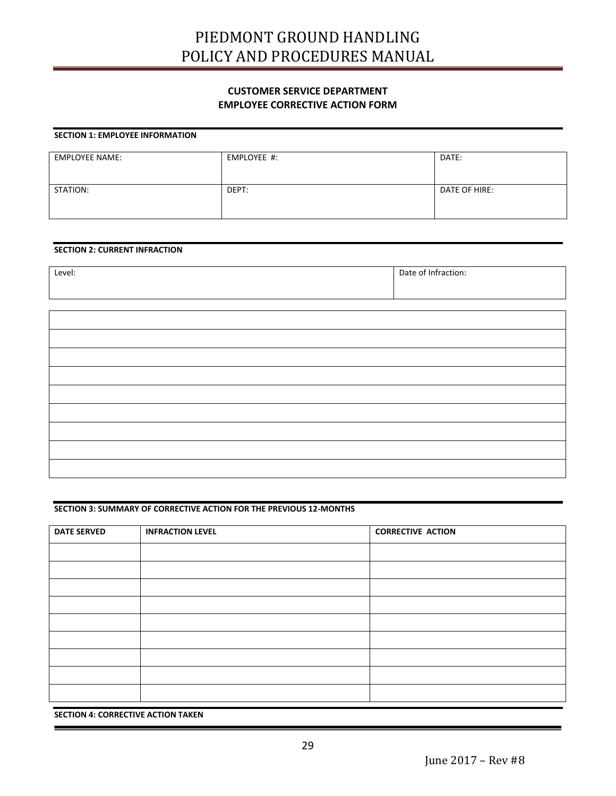### PIEDMONT GROUND HANDLING POLICY AND PROCEDURES MANUAL

#### **CUSTOMER SERVICE DEPARTMENT EMPLOYEE CORRECTIVE ACTION FORM**

#### **SECTION 1: EMPLOYEE INFORMATION**

| <b>EMPLOYEE NAME:</b> | EMPLOYEE #: | DATE:         |
|-----------------------|-------------|---------------|
| STATION:              | DEPT:       | DATE OF HIRE: |

#### **SECTION 2: CURRENT INFRACTION**

| Level: | Date of Infraction: |
|--------|---------------------|
|        |                     |

| <u> 1980 - Johann Barn, mars ann an t-</u> |  |
|--------------------------------------------|--|
|                                            |  |
|                                            |  |
|                                            |  |
|                                            |  |

#### **SECTION 3: SUMMARY OF CORRECTIVE ACTION FOR THE PREVIOUS 12-MONTHS**

| <b>DATE SERVED</b> | <b>INFRACTION LEVEL</b> | <b>CORRECTIVE ACTION</b> |
|--------------------|-------------------------|--------------------------|
|                    |                         |                          |
|                    |                         |                          |
|                    |                         |                          |
|                    |                         |                          |
|                    |                         |                          |
|                    |                         |                          |
|                    |                         |                          |
|                    |                         |                          |
|                    |                         |                          |

**SECTION 4: CORRECTIVE ACTION TAKEN**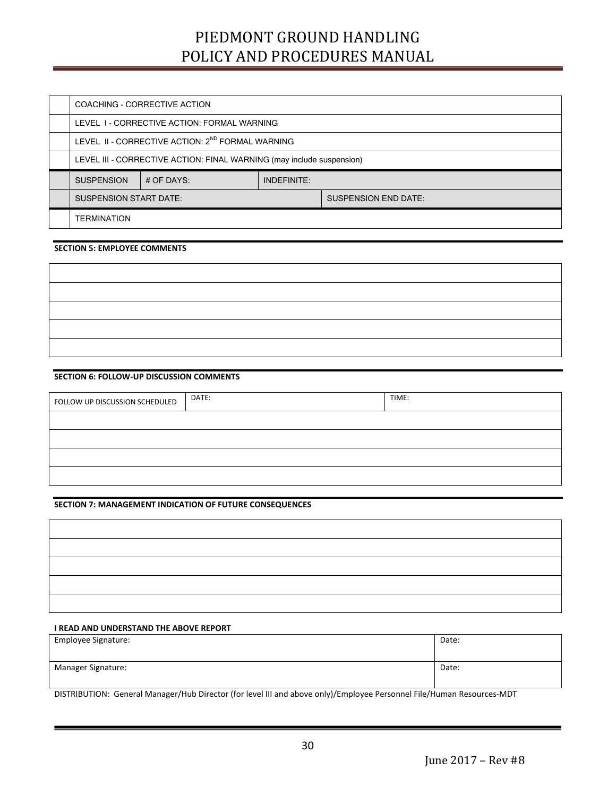### PIEDMONT GROUND HANDLING POLICY AND PROCEDURES MANUAL

| COACHING - CORRECTIVE ACTION                                          |  |  |                             |
|-----------------------------------------------------------------------|--|--|-----------------------------|
| LEVEL 1 - CORRECTIVE ACTION: FORMAL WARNING                           |  |  |                             |
| LEVEL II - CORRECTIVE ACTION: 2 <sup>ND</sup> FORMAL WARNING          |  |  |                             |
| LEVEL III - CORRECTIVE ACTION: FINAL WARNING (may include suspension) |  |  |                             |
| <b>SUSPENSION</b><br>INDEFINITE:<br># OF DAYS:                        |  |  |                             |
| <b>SUSPENSION START DATE:</b>                                         |  |  | <b>SUSPENSION END DATE:</b> |
| <b>TERMINATION</b>                                                    |  |  |                             |

#### **SECTION 5: EMPLOYEE COMMENTS**

#### **SECTION 6: FOLLOW-UP DISCUSSION COMMENTS**

| FOLLOW UP DISCUSSION SCHEDULED | DATE: | TIME: |
|--------------------------------|-------|-------|
|                                |       |       |
|                                |       |       |
|                                |       |       |
|                                |       |       |

#### **SECTION 7: MANAGEMENT INDICATION OF FUTURE CONSEQUENCES**

| <u> 1989 - Johann Stoff, Amerikaansk politiker (* 1908)</u> |  |
|-------------------------------------------------------------|--|
|                                                             |  |
|                                                             |  |
|                                                             |  |
|                                                             |  |

#### **I READ AND UNDERSTAND THE ABOVE REPORT**

Ī

| Employee Signature: | Date: |
|---------------------|-------|
| Manager Signature:  | Date: |

DISTRIBUTION: General Manager/Hub Director (for level III and above only)/Employee Personnel File/Human Resources-MDT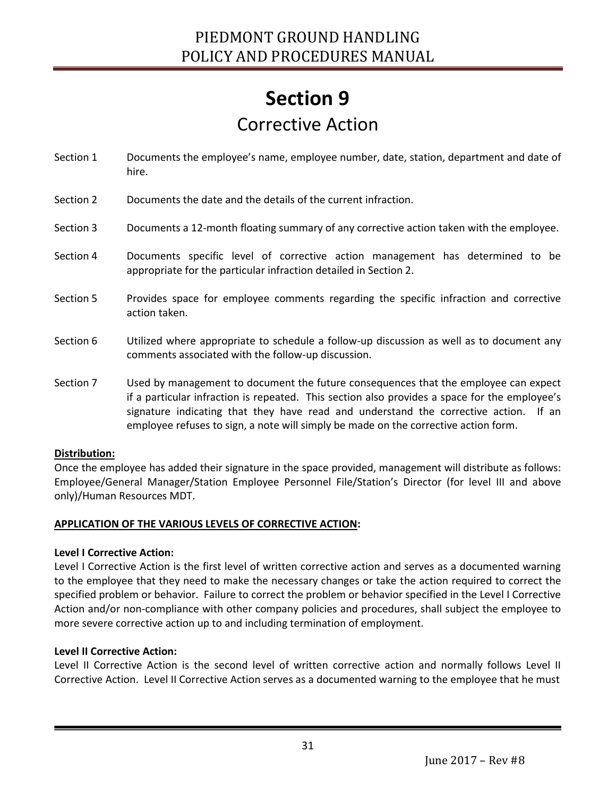## **Section 9** Corrective Action

- Section 1 Documents the employee's name, employee number, date, station, department and date of hire.
- Section 2 Documents the date and the details of the current infraction.
- Section 3 Documents a 12-month floating summary of any corrective action taken with the employee.
- Section 4 Documents specific level of corrective action management has determined to be appropriate for the particular infraction detailed in Section 2.
- Section 5 Provides space for employee comments regarding the specific infraction and corrective action taken.
- Section 6 Utilized where appropriate to schedule a follow-up discussion as well as to document any comments associated with the follow-up discussion.
- Section 7 Used by management to document the future consequences that the employee can expect if a particular infraction is repeated. This section also provides a space for the employee's signature indicating that they have read and understand the corrective action. If an employee refuses to sign, a note will simply be made on the corrective action form.

#### **Distribution:**

Once the employee has added their signature in the space provided, management will distribute as follows: Employee/General Manager/Station Employee Personnel File/Station's Director (for level III and above only)/Human Resources MDT.

#### **APPLICATION OF THE VARIOUS LEVELS OF CORRECTIVE ACTION:**

#### **Level I Corrective Action:**

Level I Corrective Action is the first level of written corrective action and serves as a documented warning to the employee that they need to make the necessary changes or take the action required to correct the specified problem or behavior. Failure to correct the problem or behavior specified in the Level I Corrective Action and/or non-compliance with other company policies and procedures, shall subject the employee to more severe corrective action up to and including termination of employment.

#### **Level II Corrective Action:**

Ī

Level II Corrective Action is the second level of written corrective action and normally follows Level II Corrective Action. Level II Corrective Action serves as a documented warning to the employee that he must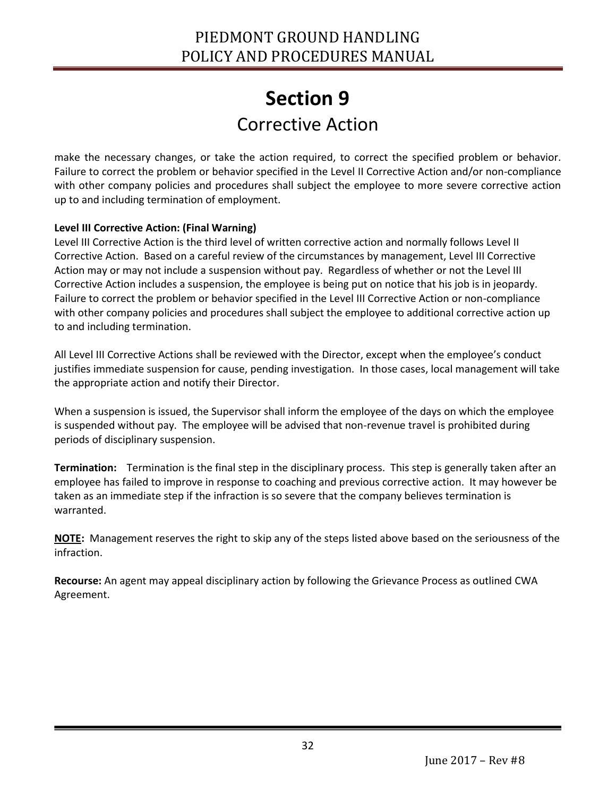### **Section 9** Corrective Action

make the necessary changes, or take the action required, to correct the specified problem or behavior. Failure to correct the problem or behavior specified in the Level II Corrective Action and/or non-compliance with other company policies and procedures shall subject the employee to more severe corrective action up to and including termination of employment.

#### **Level III Corrective Action: (Final Warning)**

Ī

Level III Corrective Action is the third level of written corrective action and normally follows Level II Corrective Action. Based on a careful review of the circumstances by management, Level III Corrective Action may or may not include a suspension without pay. Regardless of whether or not the Level III Corrective Action includes a suspension, the employee is being put on notice that his job is in jeopardy. Failure to correct the problem or behavior specified in the Level III Corrective Action or non-compliance with other company policies and procedures shall subject the employee to additional corrective action up to and including termination.

All Level III Corrective Actions shall be reviewed with the Director, except when the employee's conduct justifies immediate suspension for cause, pending investigation. In those cases, local management will take the appropriate action and notify their Director.

When a suspension is issued, the Supervisor shall inform the employee of the days on which the employee is suspended without pay. The employee will be advised that non-revenue travel is prohibited during periods of disciplinary suspension.

**Termination:** Termination is the final step in the disciplinary process. This step is generally taken after an employee has failed to improve in response to coaching and previous corrective action. It may however be taken as an immediate step if the infraction is so severe that the company believes termination is warranted.

**NOTE:** Management reserves the right to skip any of the steps listed above based on the seriousness of the infraction.

**Recourse:** An agent may appeal disciplinary action by following the Grievance Process as outlined CWA Agreement.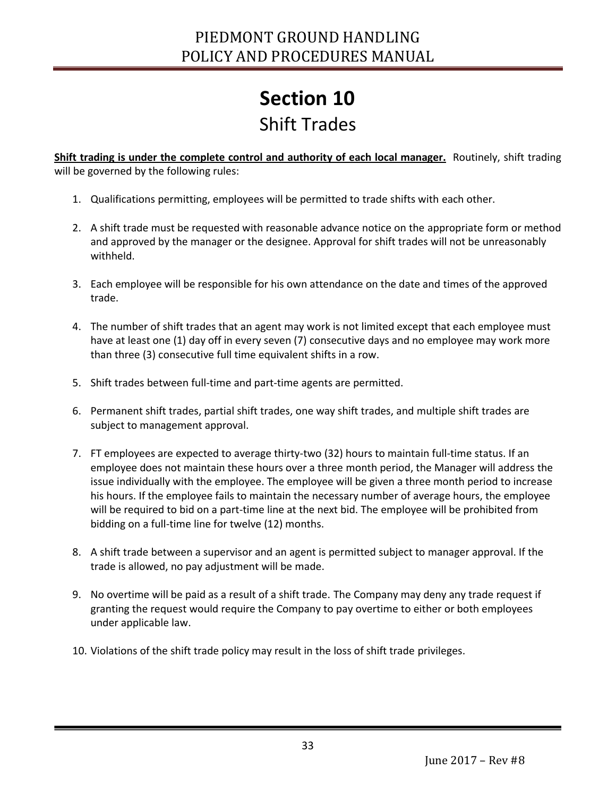### Shift Trades

<span id="page-32-1"></span><span id="page-32-0"></span>**Shift trading is under the complete control and authority of each local manager.** Routinely, shift trading will be governed by the following rules:

- 1. Qualifications permitting, employees will be permitted to trade shifts with each other.
- 2. A shift trade must be requested with reasonable advance notice on the appropriate form or method and approved by the manager or the designee. Approval for shift trades will not be unreasonably withheld.
- 3. Each employee will be responsible for his own attendance on the date and times of the approved trade.
- 4. The number of shift trades that an agent may work is not limited except that each employee must have at least one (1) day off in every seven (7) consecutive days and no employee may work more than three (3) consecutive full time equivalent shifts in a row.
- 5. Shift trades between full-time and part-time agents are permitted.
- 6. Permanent shift trades, partial shift trades, one way shift trades, and multiple shift trades are subject to management approval.
- 7. FT employees are expected to average thirty-two (32) hours to maintain full-time status. If an employee does not maintain these hours over a three month period, the Manager will address the issue individually with the employee. The employee will be given a three month period to increase his hours. If the employee fails to maintain the necessary number of average hours, the employee will be required to bid on a part-time line at the next bid. The employee will be prohibited from bidding on a full-time line for twelve (12) months.
- 8. A shift trade between a supervisor and an agent is permitted subject to manager approval. If the trade is allowed, no pay adjustment will be made.
- 9. No overtime will be paid as a result of a shift trade. The Company may deny any trade request if granting the request would require the Company to pay overtime to either or both employees under applicable law.
- 10. Violations of the shift trade policy may result in the loss of shift trade privileges.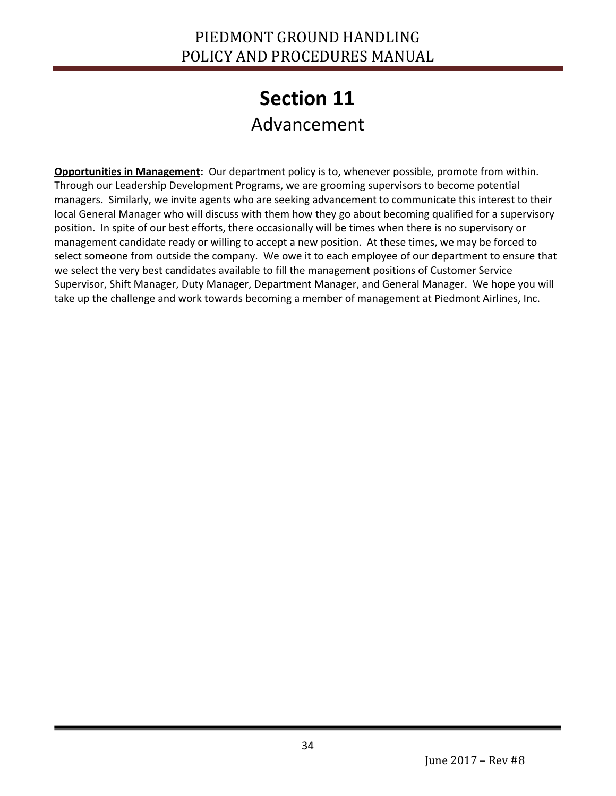## **Section 11** Advancement

<span id="page-33-1"></span><span id="page-33-0"></span>**Opportunities in Management:** Our department policy is to, whenever possible, promote from within. Through our Leadership Development Programs, we are grooming supervisors to become potential managers. Similarly, we invite agents who are seeking advancement to communicate this interest to their local General Manager who will discuss with them how they go about becoming qualified for a supervisory position. In spite of our best efforts, there occasionally will be times when there is no supervisory or management candidate ready or willing to accept a new position. At these times, we may be forced to select someone from outside the company. We owe it to each employee of our department to ensure that we select the very best candidates available to fill the management positions of Customer Service Supervisor, Shift Manager, Duty Manager, Department Manager, and General Manager. We hope you will take up the challenge and work towards becoming a member of management at Piedmont Airlines, Inc.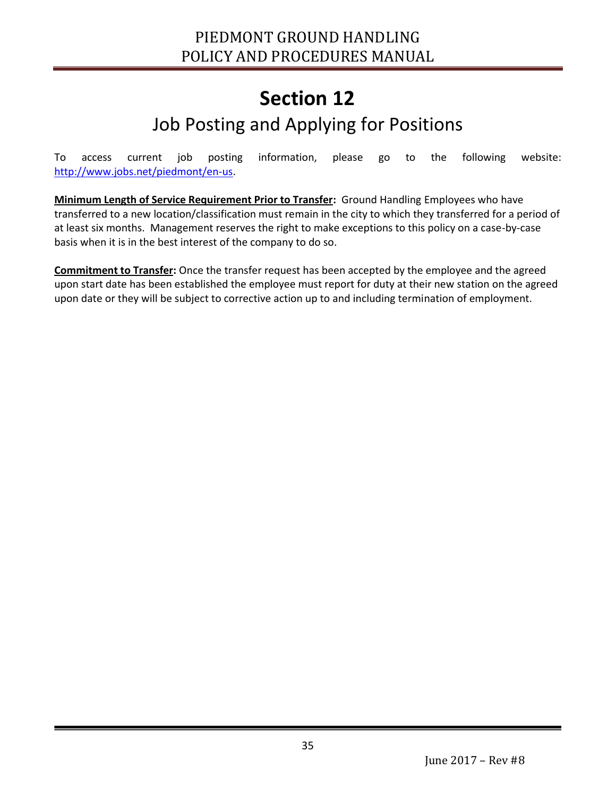### **Section 12** Job Posting and Applying for Positions

<span id="page-34-1"></span><span id="page-34-0"></span>To access current job posting information, please go to the following website: [http://www.jobs.net/piedmont/en-us.](http://www.jobs.net/piedmont/en-us)

**Minimum Length of Service Requirement Prior to Transfer:** Ground Handling Employees who have transferred to a new location/classification must remain in the city to which they transferred for a period of at least six months. Management reserves the right to make exceptions to this policy on a case-by-case basis when it is in the best interest of the company to do so.

**Commitment to Transfer:** Once the transfer request has been accepted by the employee and the agreed upon start date has been established the employee must report for duty at their new station on the agreed upon date or they will be subject to corrective action up to and including termination of employment.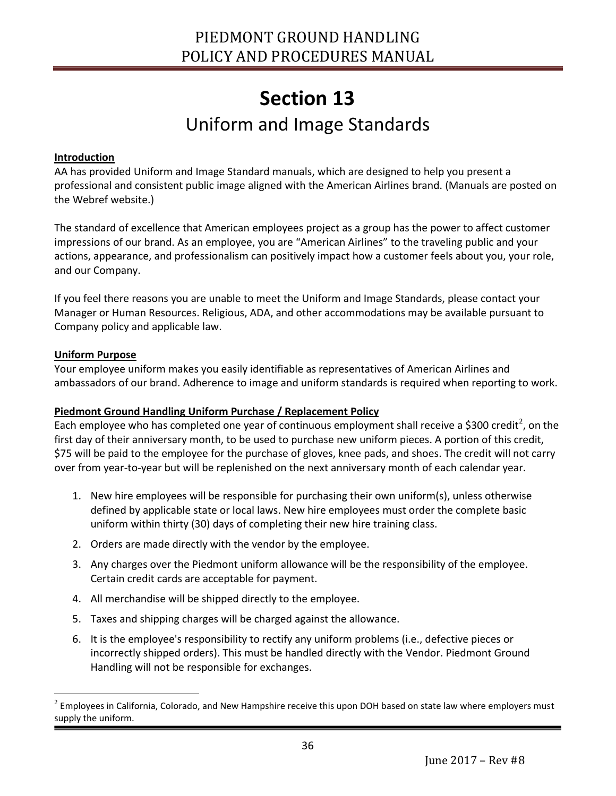### **Section 13** Uniform and Image Standards

#### <span id="page-35-1"></span><span id="page-35-0"></span>**Introduction**

AA has provided Uniform and Image Standard manuals, which are designed to help you present a professional and consistent public image aligned with the American Airlines brand. (Manuals are posted on the Webref website.)

The standard of excellence that American employees project as a group has the power to affect customer impressions of our brand. As an employee, you are "American Airlines" to the traveling public and your actions, appearance, and professionalism can positively impact how a customer feels about you, your role, and our Company.

If you feel there reasons you are unable to meet the Uniform and Image Standards, please contact your Manager or Human Resources. Religious, ADA, and other accommodations may be available pursuant to Company policy and applicable law.

#### **Uniform Purpose**

Ī

 $\overline{a}$ 

Your employee uniform makes you easily identifiable as representatives of American Airlines and ambassadors of our brand. Adherence to image and uniform standards is required when reporting to work.

#### **Piedmont Ground Handling Uniform Purchase / Replacement Policy**

Each employee who has completed one year of continuous employment shall receive a \$300 credit<sup>2</sup>, on the first day of their anniversary month, to be used to purchase new uniform pieces. A portion of this credit, \$75 will be paid to the employee for the purchase of gloves, knee pads, and shoes. The credit will not carry over from year-to-year but will be replenished on the next anniversary month of each calendar year.

- 1. New hire employees will be responsible for purchasing their own uniform(s), unless otherwise defined by applicable state or local laws. New hire employees must order the complete basic uniform within thirty (30) days of completing their new hire training class.
- 2. Orders are made directly with the vendor by the employee.
- 3. Any charges over the Piedmont uniform allowance will be the responsibility of the employee. Certain credit cards are acceptable for payment.
- 4. All merchandise will be shipped directly to the employee.
- 5. Taxes and shipping charges will be charged against the allowance.
- 6. It is the employee's responsibility to rectify any uniform problems (i.e., defective pieces or incorrectly shipped orders). This must be handled directly with the Vendor. Piedmont Ground Handling will not be responsible for exchanges.

 $^2$  Employees in California, Colorado, and New Hampshire receive this upon DOH based on state law where employers must supply the uniform.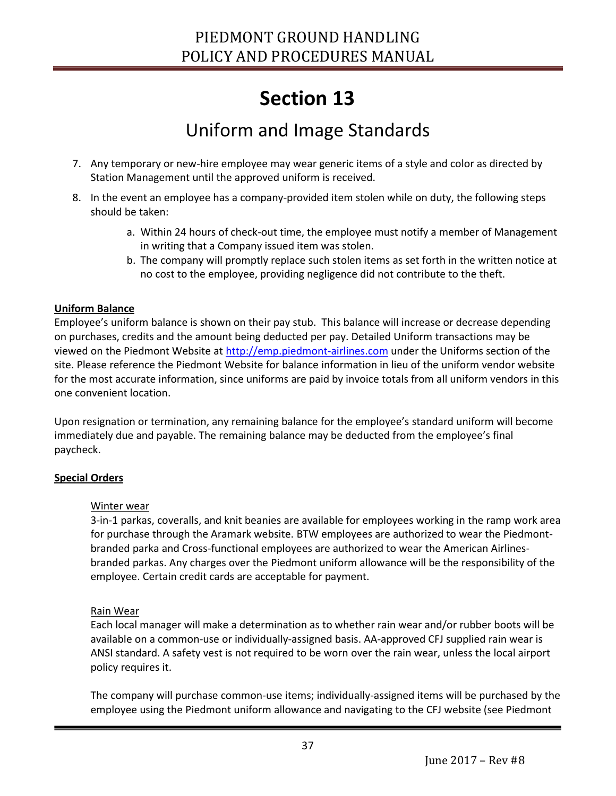### Uniform and Image Standards

- 7. Any temporary or new-hire employee may wear generic items of a style and color as directed by Station Management until the approved uniform is received.
- 8. In the event an employee has a company-provided item stolen while on duty, the following steps should be taken:
	- a. Within 24 hours of check-out time, the employee must notify a member of Management in writing that a Company issued item was stolen.
	- b. The company will promptly replace such stolen items as set forth in the written notice at no cost to the employee, providing negligence did not contribute to the theft.

#### **Uniform Balance**

Employee's uniform balance is shown on their pay stub. This balance will increase or decrease depending on purchases, credits and the amount being deducted per pay. Detailed Uniform transactions may be viewed on the Piedmont Website at [http://emp.piedmont-airlines.com](http://emp.piedmont-airlines.com/) under the Uniforms section of the site. Please reference the Piedmont Website for balance information in lieu of the uniform vendor website for the most accurate information, since uniforms are paid by invoice totals from all uniform vendors in this one convenient location.

Upon resignation or termination, any remaining balance for the employee's standard uniform will become immediately due and payable. The remaining balance may be deducted from the employee's final paycheck.

#### **Special Orders**

#### Winter wear

3-in-1 parkas, coveralls, and knit beanies are available for employees working in the ramp work area for purchase through the Aramark website. BTW employees are authorized to wear the Piedmontbranded parka and Cross-functional employees are authorized to wear the American Airlinesbranded parkas. Any charges over the Piedmont uniform allowance will be the responsibility of the employee. Certain credit cards are acceptable for payment.

#### Rain Wear

Ī

Each local manager will make a determination as to whether rain wear and/or rubber boots will be available on a common-use or individually-assigned basis. AA-approved CFJ supplied rain wear is ANSI standard. A safety vest is not required to be worn over the rain wear, unless the local airport policy requires it.

The company will purchase common-use items; individually-assigned items will be purchased by the employee using the Piedmont uniform allowance and navigating to the CFJ website (see Piedmont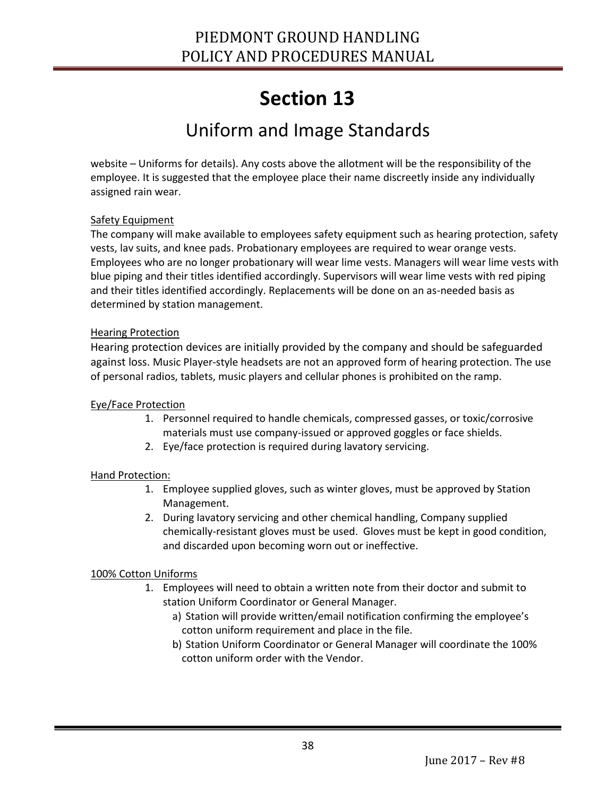### Uniform and Image Standards

website – Uniforms for details). Any costs above the allotment will be the responsibility of the employee. It is suggested that the employee place their name discreetly inside any individually assigned rain wear.

#### Safety Equipment

The company will make available to employees safety equipment such as hearing protection, safety vests, lav suits, and knee pads. Probationary employees are required to wear orange vests. Employees who are no longer probationary will wear lime vests. Managers will wear lime vests with blue piping and their titles identified accordingly. Supervisors will wear lime vests with red piping and their titles identified accordingly. Replacements will be done on an as-needed basis as determined by station management.

#### Hearing Protection

Hearing protection devices are initially provided by the company and should be safeguarded against loss. Music Player-style headsets are not an approved form of hearing protection. The use of personal radios, tablets, music players and cellular phones is prohibited on the ramp.

#### Eye/Face Protection

- 1. Personnel required to handle chemicals, compressed gasses, or toxic/corrosive materials must use company-issued or approved goggles or face shields.
- 2. Eye/face protection is required during lavatory servicing.

#### Hand Protection:

- 1. Employee supplied gloves, such as winter gloves, must be approved by Station Management.
- 2. During lavatory servicing and other chemical handling, Company supplied chemically-resistant gloves must be used. Gloves must be kept in good condition, and discarded upon becoming worn out or ineffective.

#### 100% Cotton Uniforms

- 1. Employees will need to obtain a written note from their doctor and submit to station Uniform Coordinator or General Manager.
	- a) Station will provide written/email notification confirming the employee's cotton uniform requirement and place in the file.
	- b) Station Uniform Coordinator or General Manager will coordinate the 100% cotton uniform order with the Vendor.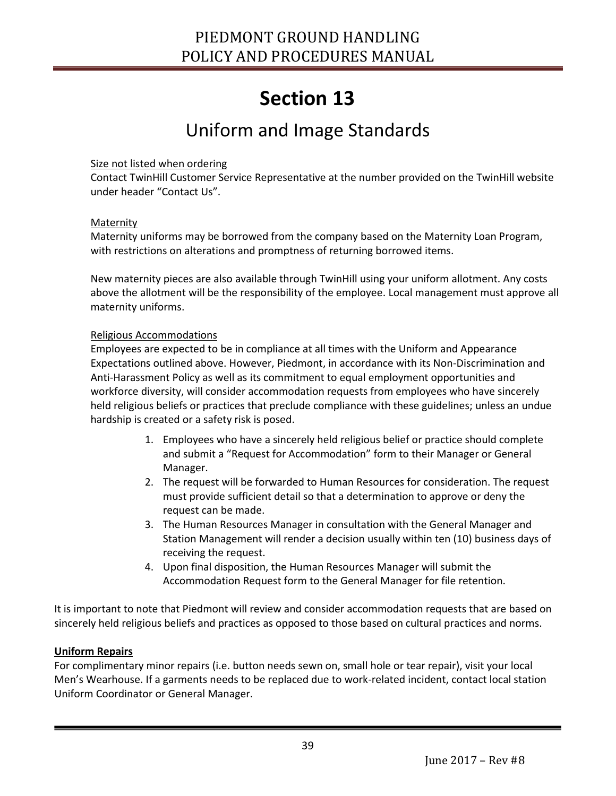### Uniform and Image Standards

#### Size not listed when ordering

Contact TwinHill Customer Service Representative at the number provided on the TwinHill website under header "Contact Us".

#### Maternity

Maternity uniforms may be borrowed from the company based on the Maternity Loan Program, with restrictions on alterations and promptness of returning borrowed items.

New maternity pieces are also available through TwinHill using your uniform allotment. Any costs above the allotment will be the responsibility of the employee. Local management must approve all maternity uniforms.

#### Religious Accommodations

Employees are expected to be in compliance at all times with the Uniform and Appearance Expectations outlined above. However, Piedmont, in accordance with its Non-Discrimination and Anti-Harassment Policy as well as its commitment to equal employment opportunities and workforce diversity, will consider accommodation requests from employees who have sincerely held religious beliefs or practices that preclude compliance with these guidelines; unless an undue hardship is created or a safety risk is posed.

- 1. Employees who have a sincerely held religious belief or practice should complete and submit a "Request for Accommodation" form to their Manager or General Manager.
- 2. The request will be forwarded to Human Resources for consideration. The request must provide sufficient detail so that a determination to approve or deny the request can be made.
- 3. The Human Resources Manager in consultation with the General Manager and Station Management will render a decision usually within ten (10) business days of receiving the request.
- 4. Upon final disposition, the Human Resources Manager will submit the Accommodation Request form to the General Manager for file retention.

It is important to note that Piedmont will review and consider accommodation requests that are based on sincerely held religious beliefs and practices as opposed to those based on cultural practices and norms.

#### **Uniform Repairs**

Ī

For complimentary minor repairs (i.e. button needs sewn on, small hole or tear repair), visit your local Men's Wearhouse. If a garments needs to be replaced due to work-related incident, contact local station Uniform Coordinator or General Manager.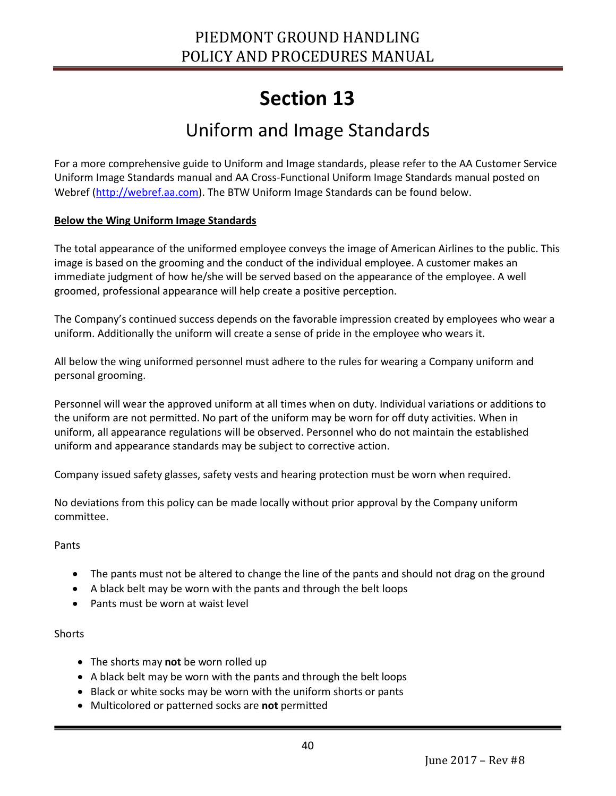### Uniform and Image Standards

For a more comprehensive guide to Uniform and Image standards, please refer to the AA Customer Service Uniform Image Standards manual and AA Cross-Functional Uniform Image Standards manual posted on Webref [\(http://webref.aa.com\)](http://webref.aa.com/). The BTW Uniform Image Standards <can> be found below.

#### **Below the Wing Uniform Image Standards**

The total appearance of the uniformed employee conveys the image of American Airlines to the public. This image is based on the grooming and the conduct of the individual employee. A customer makes an immediate judgment of how he/she will be served based on the appearance of the employee. A well groomed, professional appearance will help create a positive perception.

The Company's continued success depends on the favorable impression created by employees who wear a uniform. Additionally the uniform will create a sense of pride in the employee who wears it.

All below the wing uniformed personnel must adhere to the rules for wearing a Company uniform and personal grooming.

Personnel will wear the approved uniform at all times when on duty. Individual variations or additions to the uniform are not permitted. No part of the uniform may be worn for off duty activities. When in uniform, all appearance regulations will be observed. Personnel who do not maintain the established uniform and appearance standards may be subject to corrective action.

Company issued safety glasses, safety vests and hearing protection must be worn when required.

No deviations from this policy can be made locally without prior approval by the Company uniform committee.

Pants

- The pants must not be altered to change the line of the pants and should not drag on the ground
- A black belt may be worn with the pants and through the belt loops
- Pants must be worn at waist level

#### **Shorts**

- The shorts may **not** be worn rolled up
- A black belt may be worn with the pants and through the belt loops
- Black or white socks may be worn with the uniform shorts or pants
- Multicolored or patterned socks are **not** permitted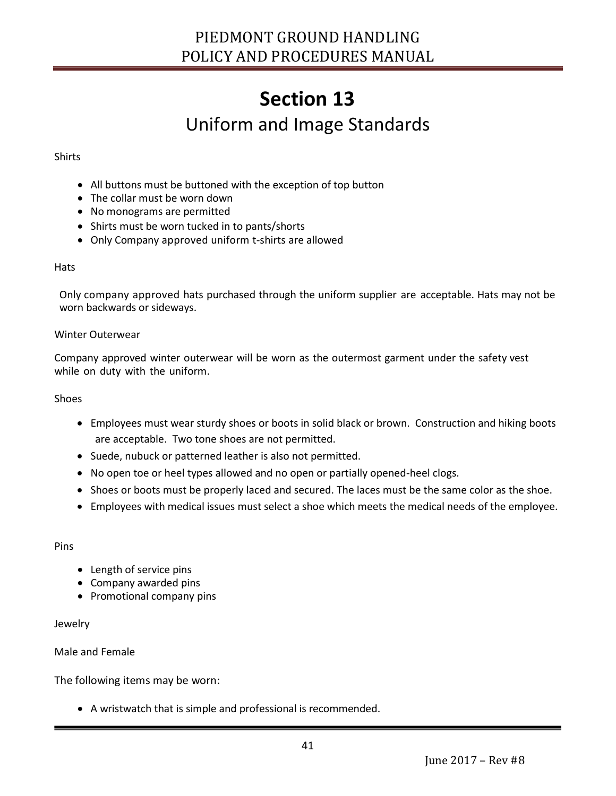## **Section 13** Uniform and Image Standards

#### Shirts

- All buttons must be buttoned with the exception of top button
- The collar must be worn down
- No monograms are permitted
- Shirts must be worn tucked in to pants/shorts
- Only Company approved uniform t-shirts are allowed

#### **Hats**

Only company approved hats purchased through the uniform supplier are acceptable. Hats may not be worn backwards or sideways.

#### Winter Outerwear

Company approved winter outerwear will be worn as the outermost garment under the safety vest while on duty with the uniform.

#### Shoes

- Employees must wear sturdy shoes or boots in solid black or brown. Construction and hiking boots are acceptable. Two tone shoes are not permitted.
- Suede, nubuck or patterned leather is also not permitted.
- No open toe or heel types allowed and no open or partially opened-heel clogs.
- Shoes or boots must be properly laced and secured. The laces must be the same color as the shoe.
- Employees with medical issues must select a shoe which meets the medical needs of the employee.

#### Pins

- Length of service pins
- Company awarded pins
- Promotional company pins

#### Jewelry

Ī

#### Male and Female

The following items may be worn:

A wristwatch that is simple and professional is recommended.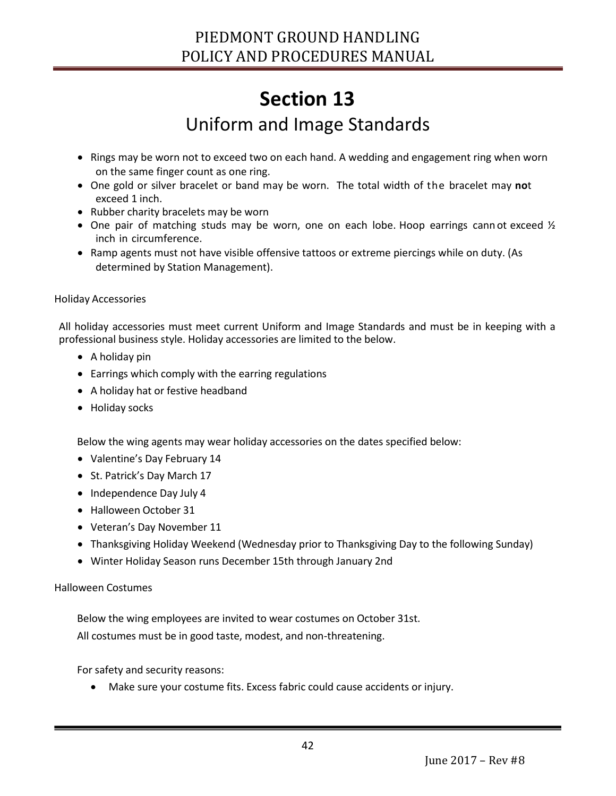### Uniform and Image Standards

- Rings may be worn not to exceed two on each hand. A wedding and engagement ring when worn on the same finger count as one ring.
- One gold or silver bracelet or band may be worn. The total width of the bracelet may **no**t exceed 1 inch.
- Rubber charity bracelets may be worn
- One pair of matching studs may be worn, one on each lobe. Hoop earrings cann ot exceed ½ inch in circumference.
- Ramp agents must not have visible offensive tattoos or extreme piercings while on duty. (As determined by Station Management).

#### Holiday Accessories

All holiday accessories must meet current Uniform and Image Standards and must be in keeping with a professional business style. Holiday accessories are limited to the below.

- A holiday pin
- Earrings which comply with the earring regulations
- A holiday hat or festive headband
- Holiday socks

Below the wing agents may wear holiday accessories on the dates specified below:

- Valentine's Day February 14
- St. Patrick's Day March 17
- Independence Day July 4
- Halloween October 31
- Veteran's Day November 11
- Thanksgiving Holiday Weekend (Wednesday prior to Thanksgiving Day to the following Sunday)
- Winter Holiday Season runs December 15th through January 2nd

#### Halloween Costumes

Ī

Below the wing employees are invited to wear costumes on October 31st. All costumes must be in good taste, modest, and non-threatening.

For safety and security reasons:

Make sure your costume fits. Excess fabric could cause accidents or injury.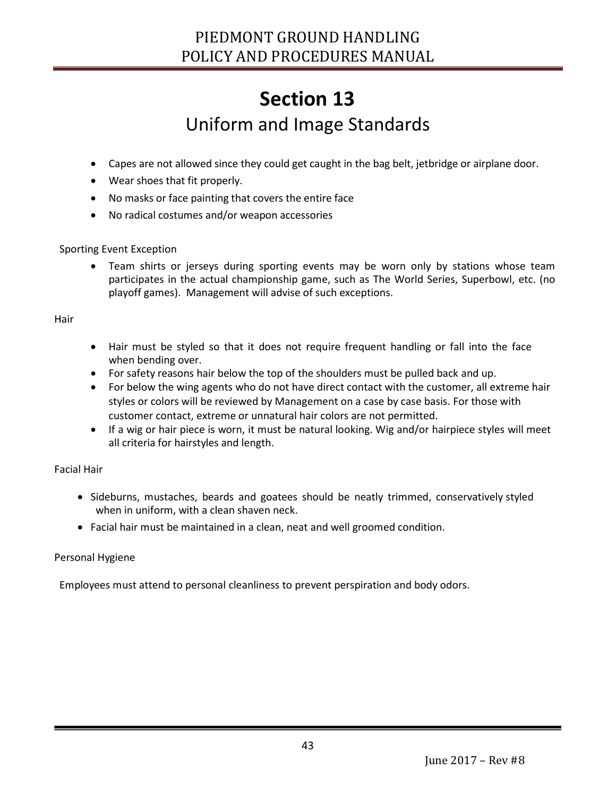## **Section 13** Uniform and Image Standards

- Capes are not allowed since they could get caught in the bag belt, jetbridge or airplane door.
- Wear shoes that fit properly.
- No masks or face painting that covers the entire face
- No radical costumes and/or weapon accessories

#### Sporting Event Exception

 Team shirts or jerseys during sporting events may be worn only by stations whose team participates in the actual championship game, such as The World Series, Superbowl, etc. (no playoff games). Management will advise of such exceptions.

#### Hair

- Hair must be styled so that it does not require frequent handling or fall into the face when bending over.
- For safety reasons hair below the top of the shoulders must be pulled back and up.
- For below the wing agents who do not have direct contact with the customer, all extreme hair styles or colors will be reviewed by Management on a case by case basis. For those with customer contact, extreme or unnatural hair colors are not permitted.
- If a wig or hair piece is worn, it must be natural looking. Wig and/or hairpiece styles will meet all criteria for hairstyles and length.

#### Facial Hair

- Sideburns, mustaches, beards and goatees should be neatly trimmed, conservatively styled when in uniform, with a clean shaven neck.
- Facial hair must be maintained in a clean, neat and well groomed condition.

#### Personal Hygiene

Ī

Employees must attend to personal cleanliness to prevent perspiration and body odors.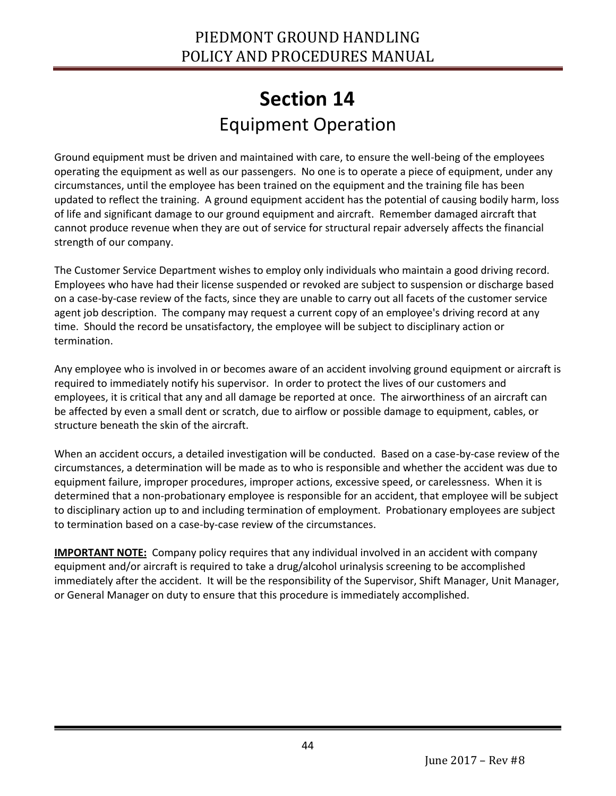### **Section 14** Equipment Operation

<span id="page-43-1"></span><span id="page-43-0"></span>Ground equipment must be driven and maintained with care, to ensure the well-being of the employees operating the equipment as well as our passengers. No one is to operate a piece of equipment, under any circumstances, until the employee has been trained on the equipment and the training file has been updated to reflect the training. A ground equipment accident has the potential of causing bodily harm, loss of life and significant damage to our ground equipment and aircraft. Remember damaged aircraft that cannot produce revenue when they are out of service for structural repair adversely affects the financial strength of our company.

The Customer Service Department wishes to employ only individuals who maintain a good driving record. Employees who have had their license suspended or revoked are subject to suspension or discharge based on a case-by-case review of the facts, since they are unable to carry out all facets of the customer service agent job description. The company may request a current copy of an employee's driving record at any time. Should the record be unsatisfactory, the employee will be subject to disciplinary action or termination.

Any employee who is involved in or becomes aware of an accident involving ground equipment or aircraft is required to immediately notify his supervisor. In order to protect the lives of our customers and employees, it is critical that any and all damage be reported at once. The airworthiness of an aircraft can be affected by even a small dent or scratch, due to airflow or possible damage to equipment, cables, or structure beneath the skin of the aircraft.

When an accident occurs, a detailed investigation will be conducted. Based on a case-by-case review of the circumstances, a determination will be made as to who is responsible and whether the accident was due to equipment failure, improper procedures, improper actions, excessive speed, or carelessness. When it is determined that a non-probationary employee is responsible for an accident, that employee will be subject to disciplinary action up to and including termination of employment. Probationary employees are subject to termination based on a case-by-case review of the circumstances.

**IMPORTANT NOTE:** Company policy requires that any individual involved in an accident with company equipment and/or aircraft is required to take a drug/alcohol urinalysis screening to be accomplished immediately after the accident. It will be the responsibility of the Supervisor, Shift Manager, Unit Manager, or General Manager on duty to ensure that this procedure is immediately accomplished.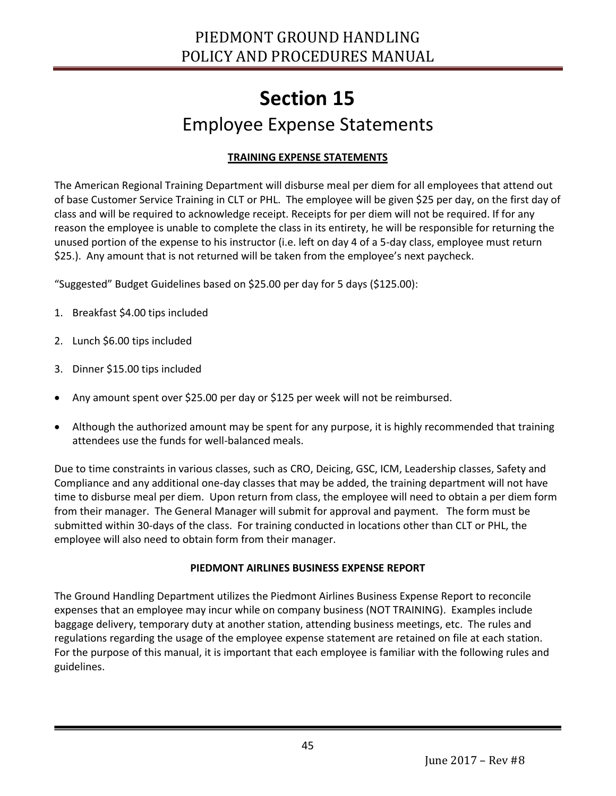### **Section 15** Employee Expense Statements

#### **TRAINING EXPENSE STATEMENTS**

<span id="page-44-1"></span><span id="page-44-0"></span>The American Regional Training Department will disburse meal per diem for all employees that attend out of base Customer Service Training in CLT or PHL. The employee will be given \$25 per day, on the first day of class and will be required to acknowledge receipt. Receipts for per diem will not be required. If for any reason the employee is unable to complete the class in its entirety, he will be responsible for returning the unused portion of the expense to his instructor (i.e. left on day 4 of a 5-day class, employee must return \$25.). Any amount that is not returned will be taken from the employee's next paycheck.

"Suggested" Budget Guidelines based on \$25.00 per day for 5 days (\$125.00):

- 1. Breakfast \$4.00 tips included
- 2. Lunch \$6.00 tips included
- 3. Dinner \$15.00 tips included

Ī

- Any amount spent over \$25.00 per day or \$125 per week will not be reimbursed.
- Although the authorized amount may be spent for any purpose, it is highly recommended that training attendees use the funds for well-balanced meals.

Due to time constraints in various classes, such as CRO, Deicing, GSC, ICM, Leadership classes, Safety and Compliance and any additional one-day classes that may be added, the training department will not have time to disburse meal per diem. Upon return from class, the employee will need to obtain a per diem form from their manager. The General Manager will submit for approval and payment. The form must be submitted within 30-days of the class. For training conducted in locations other than CLT or PHL, the employee will also need to obtain form from their manager.

#### **PIEDMONT AIRLINES BUSINESS EXPENSE REPORT**

The Ground Handling Department utilizes the Piedmont Airlines Business Expense Report to reconcile expenses that an employee may incur while on company business (NOT TRAINING). Examples include baggage delivery, temporary duty at another station, attending business meetings, etc. The rules and regulations regarding the usage of the employee expense statement are retained on file at each station. For the purpose of this manual, it is important that each employee is familiar with the following rules and guidelines.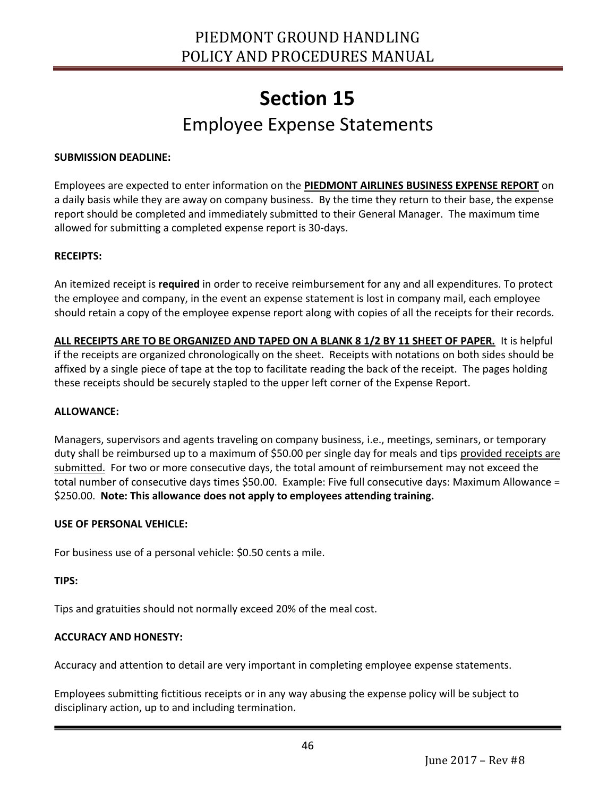### **Section 15** Employee Expense Statements

#### **SUBMISSION DEADLINE:**

Employees are expected to enter information on the **PIEDMONT AIRLINES BUSINESS EXPENSE REPORT** on a daily basis while they are away on company business. By the time they return to their base, the expense report should be completed and immediately submitted to their General Manager. The maximum time allowed for submitting a completed expense report is 30-days.

#### **RECEIPTS:**

An itemized receipt is **required** in order to receive reimbursement for any and all expenditures. To protect the employee and company, in the event an expense statement is lost in company mail, each employee should retain a copy of the employee expense report along with copies of all the receipts for their records.

**ALL RECEIPTS ARE TO BE ORGANIZED AND TAPED ON A BLANK 8 1/2 BY 11 SHEET OF PAPER.** It is helpful if the receipts are organized chronologically on the sheet. Receipts with notations on both sides should be affixed by a single piece of tape at the top to facilitate reading the back of the receipt. The pages holding these receipts should be securely stapled to the upper left corner of the Expense Report.

#### **ALLOWANCE:**

Managers, supervisors and agents traveling on company business, i.e., meetings, seminars, or temporary duty shall be reimbursed up to a maximum of \$50.00 per single day for meals and tips provided receipts are submitted. For two or more consecutive days, the total amount of reimbursement may not exceed the total number of consecutive days times \$50.00. Example: Five full consecutive days: Maximum Allowance = \$250.00. **Note: This allowance does not apply to employees attending training.** 

#### **USE OF PERSONAL VEHICLE:**

For business use of a personal vehicle: \$0.50 cents a mile.

#### **TIPS:**

Ī

Tips and gratuities should not normally exceed 20% of the meal cost.

#### **ACCURACY AND HONESTY:**

Accuracy and attention to detail are very important in completing employee expense statements.

Employees submitting fictitious receipts or in any way abusing the expense policy will be subject to disciplinary action, up to and including termination.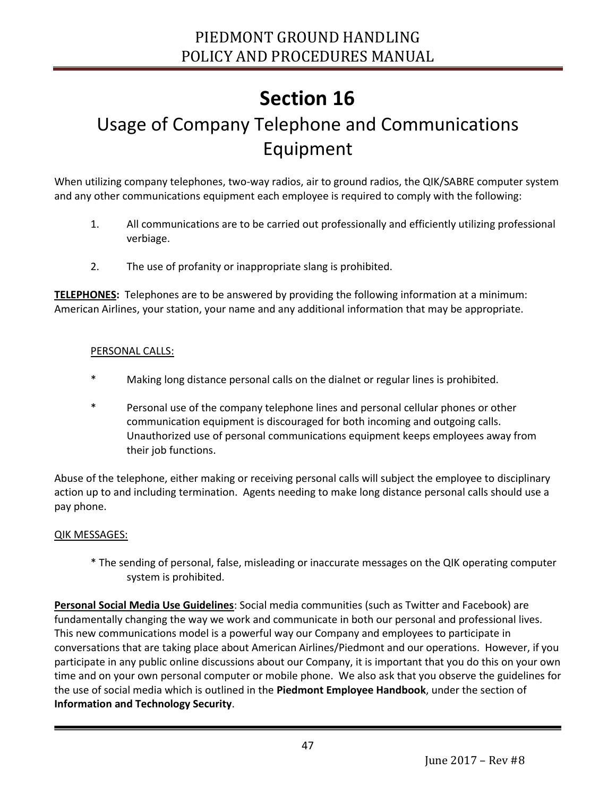### <span id="page-46-1"></span><span id="page-46-0"></span>Usage of Company Telephone and Communications Equipment

When utilizing company telephones, two-way radios, air to ground radios, the QIK/SABRE computer system and any other communications equipment each employee is required to comply with the following:

- 1. All communications are to be carried out professionally and efficiently utilizing professional verbiage.
- 2. The use of profanity or inappropriate slang is prohibited.

**TELEPHONES:** Telephones are to be answered by providing the following information at a minimum: American Airlines, your station, your name and any additional information that may be appropriate.

#### PERSONAL CALLS:

- Making long distance personal calls on the dialnet or regular lines is prohibited.
- \* Personal use of the company telephone lines and personal cellular phones or other communication equipment is discouraged for both incoming and outgoing calls. Unauthorized use of personal communications equipment keeps employees away from their job functions.

Abuse of the telephone, either making or receiving personal calls will subject the employee to disciplinary action up to and including termination. Agents needing to make long distance personal calls should use a pay phone.

#### QIK MESSAGES:

Ī

\* The sending of personal, false, misleading or inaccurate messages on the QIK operating computer system is prohibited.

**Personal Social Media Use Guidelines**: Social media communities (such as Twitter and Facebook) are fundamentally changing the way we work and communicate in both our personal and professional lives. This new communications model is a powerful way our Company and employees to participate in conversations that are taking place about American Airlines/Piedmont and our operations. However, if you participate in any public online discussions about our Company, it is important that you do this on your own time and on your own personal computer or mobile phone. We also ask that you observe the guidelines for the use of social media which is outlined in the **Piedmont Employee Handbook**, under the section of **Information and Technology Security**.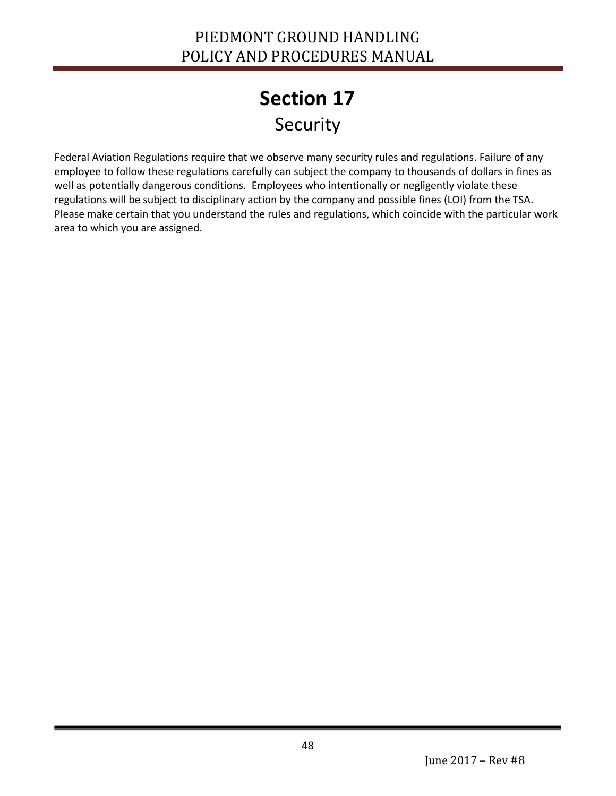## **Section 17** Security

<span id="page-47-1"></span><span id="page-47-0"></span>Federal Aviation Regulations require that we observe many security rules and regulations. Failure of any employee to follow these regulations carefully can subject the company to thousands of dollars in fines as well as potentially dangerous conditions. Employees who intentionally or negligently violate these regulations will be subject to disciplinary action by the company and possible fines (LOI) from the TSA. Please make certain that you understand the rules and regulations, which coincide with the particular work area to which you are assigned.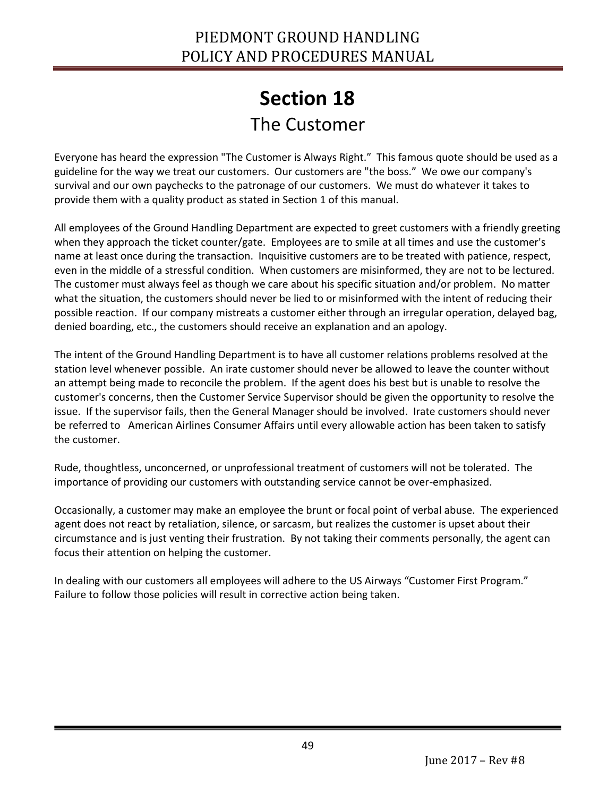### **Section 18** The Customer

<span id="page-48-1"></span><span id="page-48-0"></span>Everyone has heard the expression "The Customer is Always Right." This famous quote should be used as a guideline for the way we treat our customers. Our customers are "the boss." We owe our company's survival and our own paychecks to the patronage of our customers. We must do whatever it takes to provide them with a quality product as stated in Section 1 of this manual.

All employees of the Ground Handling Department are expected to greet customers with a friendly greeting when they approach the ticket counter/gate. Employees are to smile at all times and use the customer's name at least once during the transaction. Inquisitive customers are to be treated with patience, respect, even in the middle of a stressful condition. When customers are misinformed, they are not to be lectured. The customer must always feel as though we care about his specific situation and/or problem. No matter what the situation, the customers should never be lied to or misinformed with the intent of reducing their possible reaction. If our company mistreats a customer either through an irregular operation, delayed bag, denied boarding, etc., the customers should receive an explanation and an apology.

The intent of the Ground Handling Department is to have all customer relations problems resolved at the station level whenever possible. An irate customer should never be allowed to leave the counter without an attempt being made to reconcile the problem. If the agent does his best but is unable to resolve the customer's concerns, then the Customer Service Supervisor should be given the opportunity to resolve the issue. If the supervisor fails, then the General Manager should be involved. Irate customers should never be referred to American Airlines Consumer Affairs until every allowable action has been taken to satisfy the customer.

Rude, thoughtless, unconcerned, or unprofessional treatment of customers will not be tolerated. The importance of providing our customers with outstanding service cannot be over-emphasized.

Occasionally, a customer may make an employee the brunt or focal point of verbal abuse. The experienced agent does not react by retaliation, silence, or sarcasm, but realizes the customer is upset about their circumstance and is just venting their frustration. By not taking their comments personally, the agent can focus their attention on helping the customer.

In dealing with our customers all employees will adhere to the US Airways "Customer First Program." Failure to follow those policies will result in corrective action being taken.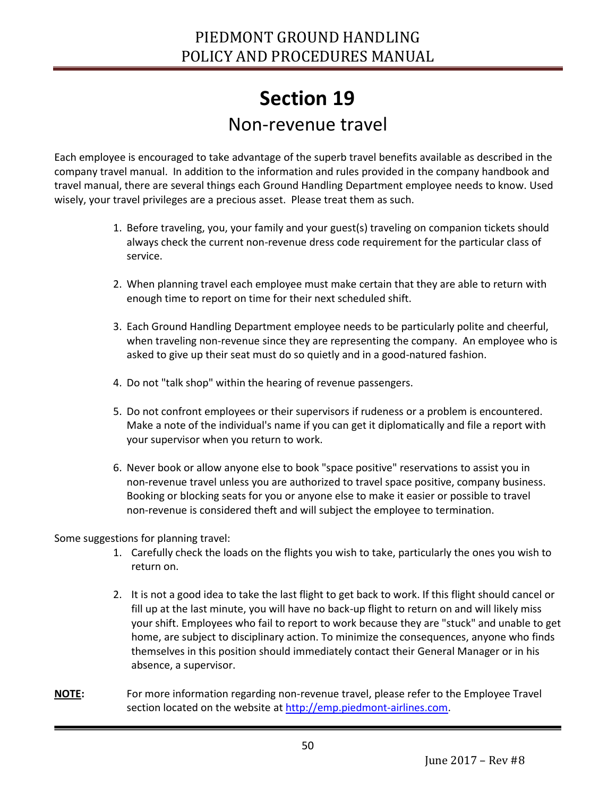### **Section 19** Non-revenue travel

<span id="page-49-1"></span><span id="page-49-0"></span>Each employee is encouraged to take advantage of the superb travel benefits available as described in the company travel manual. In addition to the information and rules provided in the company handbook and travel manual, there are several things each Ground Handling Department employee needs to know. Used wisely, your travel privileges are a precious asset. Please treat them as such.

- 1. Before traveling, you, your family and your guest(s) traveling on companion tickets should always check the current non-revenue dress code requirement for the particular class of service.
- 2. When planning travel each employee must make certain that they are able to return with enough time to report on time for their next scheduled shift.
- 3. Each Ground Handling Department employee needs to be particularly polite and cheerful, when traveling non-revenue since they are representing the company. An employee who is asked to give up their seat must do so quietly and in a good-natured fashion.
- 4. Do not "talk shop" within the hearing of revenue passengers.
- 5. Do not confront employees or their supervisors if rudeness or a problem is encountered. Make a note of the individual's name if you can get it diplomatically and file a report with your supervisor when you return to work.
- 6. Never book or allow anyone else to book "space positive" reservations to assist you in non-revenue travel unless you are authorized to travel space positive, company business. Booking or blocking seats for you or anyone else to make it easier or possible to travel non-revenue is considered theft and will subject the employee to termination.

Some suggestions for planning travel:

- 1. Carefully check the loads on the flights you wish to take, particularly the ones you wish to return on.
- 2. It is not a good idea to take the last flight to get back to work. If this flight should cancel or fill up at the last minute, you will have no back-up flight to return on and will likely miss your shift. Employees who fail to report to work because they are "stuck" and unable to get home, are subject to disciplinary action. To minimize the consequences, anyone who finds themselves in this position should immediately contact their General Manager or in his absence, a supervisor.
- **NOTE:** For more information regarding non-revenue travel, please refer to the Employee Travel section located on the website at [http://emp.piedmont-airlines.com.](http://emp.piedmont-airlines.com/)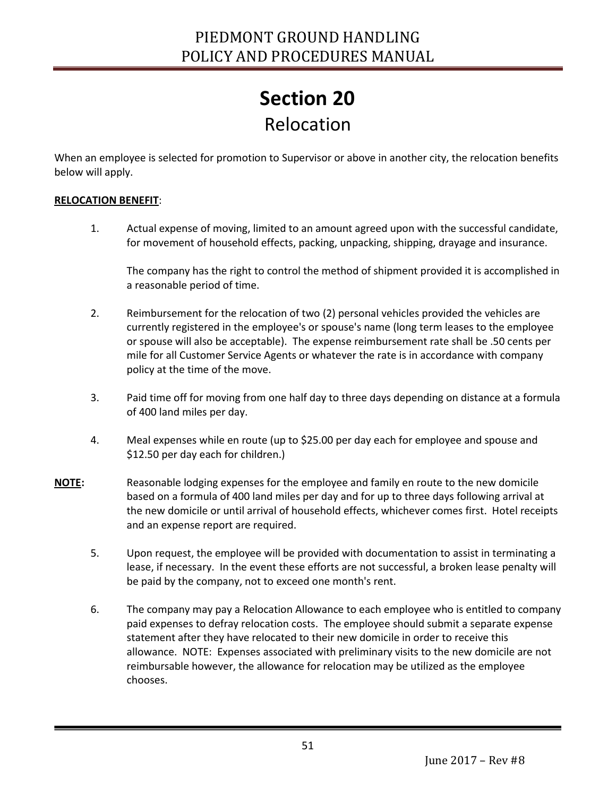## **Section 20** Relocation

<span id="page-50-1"></span><span id="page-50-0"></span>When an employee is selected for promotion to Supervisor or above in another city, the relocation benefits below will apply.

#### **RELOCATION BENEFIT**:

Ī

1. Actual expense of moving, limited to an amount agreed upon with the successful candidate, for movement of household effects, packing, unpacking, shipping, drayage and insurance.

The company has the right to control the method of shipment provided it is accomplished in a reasonable period of time.

- 2. Reimbursement for the relocation of two (2) personal vehicles provided the vehicles are currently registered in the employee's or spouse's name (long term leases to the employee or spouse will also be acceptable). The expense reimbursement rate shall be .50 cents per mile for all Customer Service Agents or whatever the rate is in accordance with company policy at the time of the move.
- 3. Paid time off for moving from one half day to three days depending on distance at a formula of 400 land miles per day.
- 4. Meal expenses while en route (up to \$25.00 per day each for employee and spouse and \$12.50 per day each for children.)
- **NOTE:** Reasonable lodging expenses for the employee and family en route to the new domicile based on a formula of 400 land miles per day and for up to three days following arrival at the new domicile or until arrival of household effects, whichever comes first. Hotel receipts and an expense report are required.
	- 5. Upon request, the employee will be provided with documentation to assist in terminating a lease, if necessary. In the event these efforts are not successful, a broken lease penalty will be paid by the company, not to exceed one month's rent.
	- 6. The company may pay a Relocation Allowance to each employee who is entitled to company paid expenses to defray relocation costs. The employee should submit a separate expense statement after they have relocated to their new domicile in order to receive this allowance. NOTE: Expenses associated with preliminary visits to the new domicile are not reimbursable however, the allowance for relocation may be utilized as the employee chooses.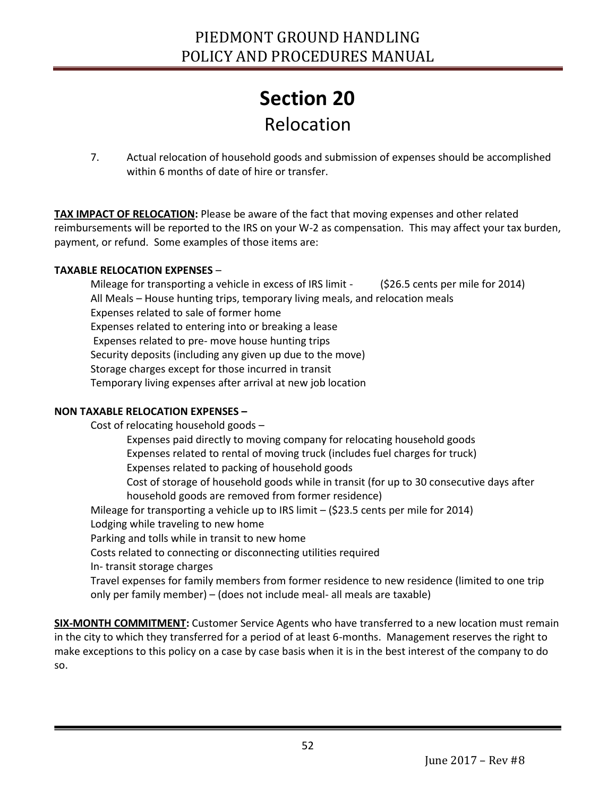### **Section 20** Relocation

7. Actual relocation of household goods and submission of expenses should be accomplished within 6 months of date of hire or transfer.

**TAX IMPACT OF RELOCATION:** Please be aware of the fact that moving expenses and other related reimbursements will be reported to the IRS on your W-2 as compensation. This may affect your tax burden, payment, or refund. Some examples of those items are:

#### **TAXABLE RELOCATION EXPENSES** –

Mileage for transporting a vehicle in excess of IRS limit - (\$26.5 cents per mile for 2014) All Meals – House hunting trips, temporary living meals, and relocation meals Expenses related to sale of former home Expenses related to entering into or breaking a lease Expenses related to pre- move house hunting trips Security deposits (including any given up due to the move) Storage charges except for those incurred in transit Temporary living expenses after arrival at new job location

#### **NON TAXABLE RELOCATION EXPENSES –**

Ī

Cost of relocating household goods – Expenses paid directly to moving company for relocating household goods Expenses related to rental of moving truck (includes fuel charges for truck) Expenses related to packing of household goods Cost of storage of household goods while in transit (for up to 30 consecutive days after household goods are removed from former residence) Mileage for transporting a vehicle up to IRS limit – (\$23.5 cents per mile for 2014) Lodging while traveling to new home Parking and tolls while in transit to new home Costs related to connecting or disconnecting utilities required In- transit storage charges Travel expenses for family members from former residence to new residence (limited to one trip only per family member) – (does not include meal- all meals are taxable)

**SIX-MONTH COMMITMENT:** Customer Service Agents who have transferred to a new location must remain in the city to which they transferred for a period of at least 6-months. Management reserves the right to make exceptions to this policy on a case by case basis when it is in the best interest of the company to do so.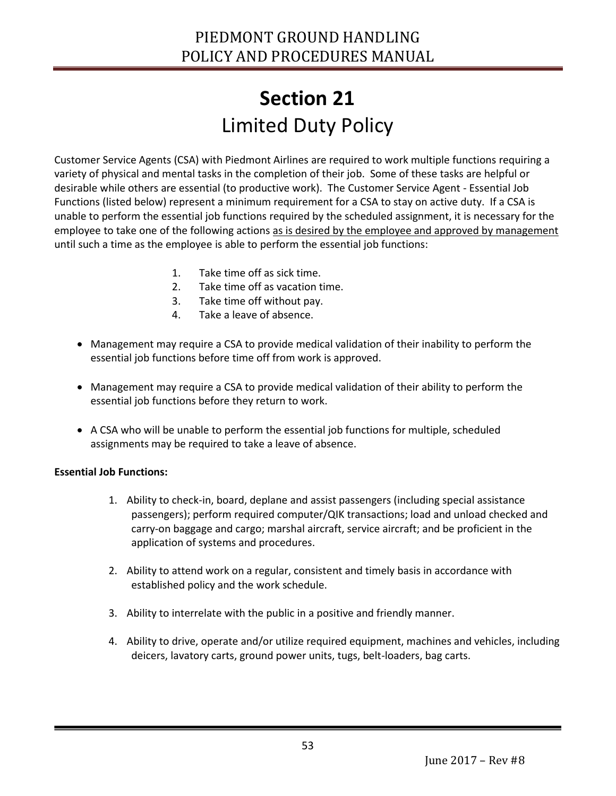# **Section 21** Limited Duty Policy

<span id="page-52-1"></span><span id="page-52-0"></span>Customer Service Agents (CSA) with Piedmont Airlines are required to work multiple functions requiring a variety of physical and mental tasks in the completion of their job. Some of these tasks are helpful or desirable while others are essential (to productive work). The Customer Service Agent - Essential Job Functions (listed below) represent a minimum requirement for a CSA to stay on active duty. If a CSA is unable to perform the essential job functions required by the scheduled assignment, it is necessary for the employee to take one of the following actions as is desired by the employee and approved by management until such a time as the employee is able to perform the essential job functions:

- 1. Take time off as sick time.
- 2. Take time off as vacation time.
- 3. Take time off without pay.
- 4. Take a leave of absence.
- Management may require a CSA to provide medical validation of their inability to perform the essential job functions before time off from work is approved.
- Management may require a CSA to provide medical validation of their ability to perform the essential job functions before they return to work.
- A CSA who will be unable to perform the essential job functions for multiple, scheduled assignments may be required to take a leave of absence.

#### **Essential Job Functions:**

- 1. Ability to check-in, board, deplane and assist passengers (including special assistance passengers); perform required computer/QIK transactions; load and unload checked and carry-on baggage and cargo; marshal aircraft, service aircraft; and be proficient in the application of systems and procedures.
- 2. Ability to attend work on a regular, consistent and timely basis in accordance with established policy and the work schedule.
- 3. Ability to interrelate with the public in a positive and friendly manner.
- 4. Ability to drive, operate and/or utilize required equipment, machines and vehicles, including deicers, lavatory carts, ground power units, tugs, belt-loaders, bag carts.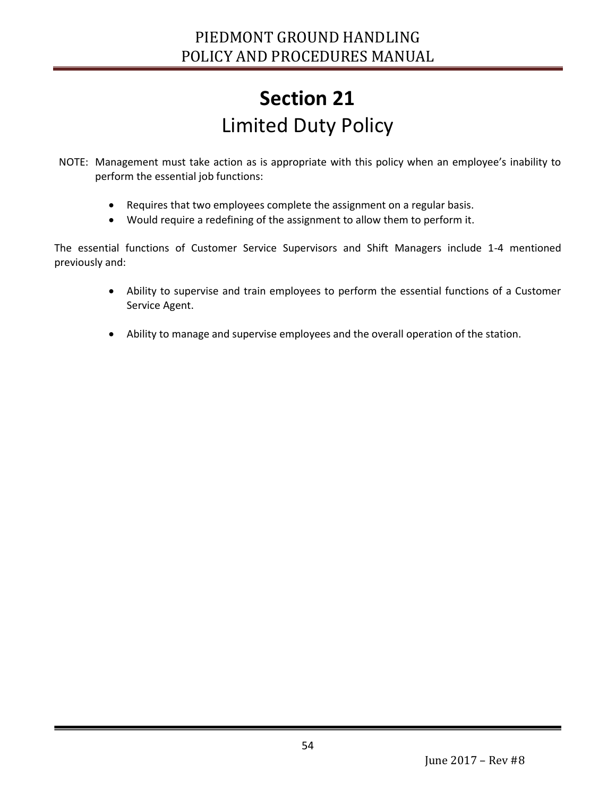# **Section 21** Limited Duty Policy

- NOTE: Management must take action as is appropriate with this policy when an employee's inability to perform the essential job functions:
	- Requires that two employees complete the assignment on a regular basis.
	- Would require a redefining of the assignment to allow them to perform it.

The essential functions of Customer Service Supervisors and Shift Managers include 1-4 mentioned previously and:

- Ability to supervise and train employees to perform the essential functions of a Customer Service Agent.
- Ability to manage and supervise employees and the overall operation of the station.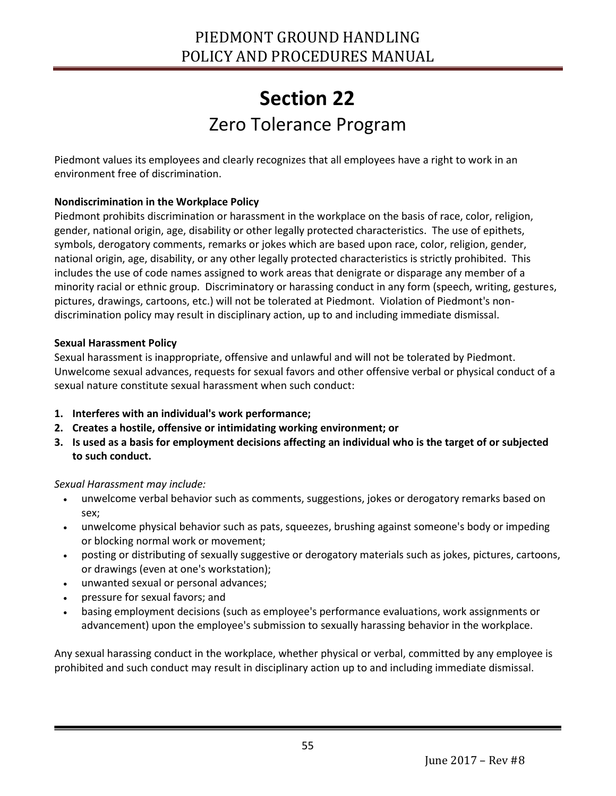### **Section 22** Zero Tolerance Program

<span id="page-54-1"></span><span id="page-54-0"></span>Piedmont values its employees and clearly recognizes that all employees have a right to work in an environment free of discrimination.

#### **Nondiscrimination in the Workplace Policy**

Piedmont prohibits discrimination or harassment in the workplace on the basis of race, color, religion, gender, national origin, age, disability or other legally protected characteristics. The use of epithets, symbols, derogatory comments, remarks or jokes which are based upon race, color, religion, gender, national origin, age, disability, or any other legally protected characteristics is strictly prohibited. This includes the use of code names assigned to work areas that denigrate or disparage any member of a minority racial or ethnic group. Discriminatory or harassing conduct in any form (speech, writing, gestures, pictures, drawings, cartoons, etc.) will not be tolerated at Piedmont. Violation of Piedmont's nondiscrimination policy may result in disciplinary action, up to and including immediate dismissal.

#### **Sexual Harassment Policy**

Sexual harassment is inappropriate, offensive and unlawful and will not be tolerated by Piedmont. Unwelcome sexual advances, requests for sexual favors and other offensive verbal or physical conduct of a sexual nature constitute sexual harassment when such conduct:

- **1. Interferes with an individual's work performance;**
- **2. Creates a hostile, offensive or intimidating working environment; or**
- **3. Is used as a basis for employment decisions affecting an individual who is the target of or subjected to such conduct.**

#### *Sexual Harassment may include:*

- unwelcome verbal behavior such as comments, suggestions, jokes or derogatory remarks based on sex;
- unwelcome physical behavior such as pats, squeezes, brushing against someone's body or impeding or blocking normal work or movement;
- posting or distributing of sexually suggestive or derogatory materials such as jokes, pictures, cartoons, or drawings (even at one's workstation);
- unwanted sexual or personal advances;
- pressure for sexual favors; and

Ī

 basing employment decisions (such as employee's performance evaluations, work assignments or advancement) upon the employee's submission to sexually harassing behavior in the workplace.

Any sexual harassing conduct in the workplace, whether physical or verbal, committed by any employee is prohibited and such conduct may result in disciplinary action up to and including immediate dismissal.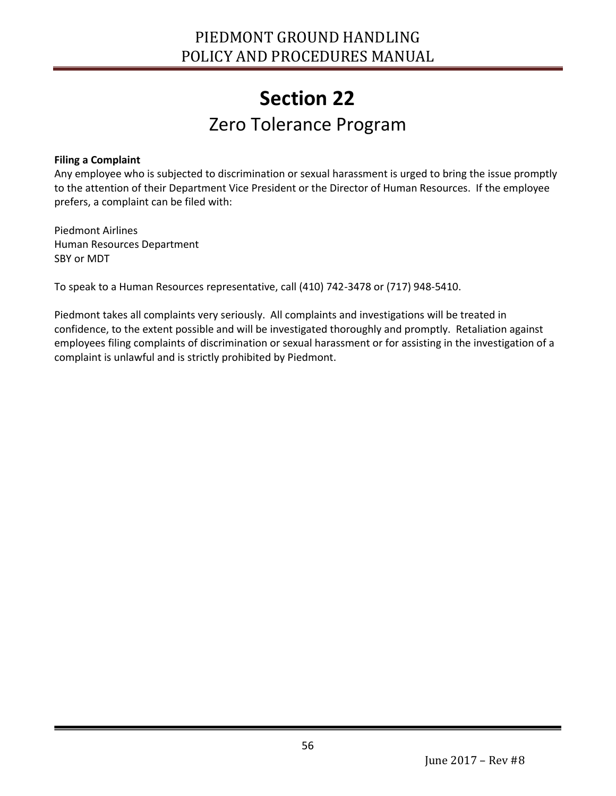### **Section 22** Zero Tolerance Program

#### **Filing a Complaint**

Ī

Any employee who is subjected to discrimination or sexual harassment is urged to bring the issue promptly to the attention of their Department Vice President or the Director of Human Resources. If the employee prefers, a complaint can be filed with:

Piedmont Airlines Human Resources Department SBY or MDT

To speak to a Human Resources representative, call (410) 742-3478 or (717) 948-5410.

Piedmont takes all complaints very seriously. All complaints and investigations will be treated in confidence, to the extent possible and will be investigated thoroughly and promptly. Retaliation against employees filing complaints of discrimination or sexual harassment or for assisting in the investigation of a complaint is unlawful and is strictly prohibited by Piedmont.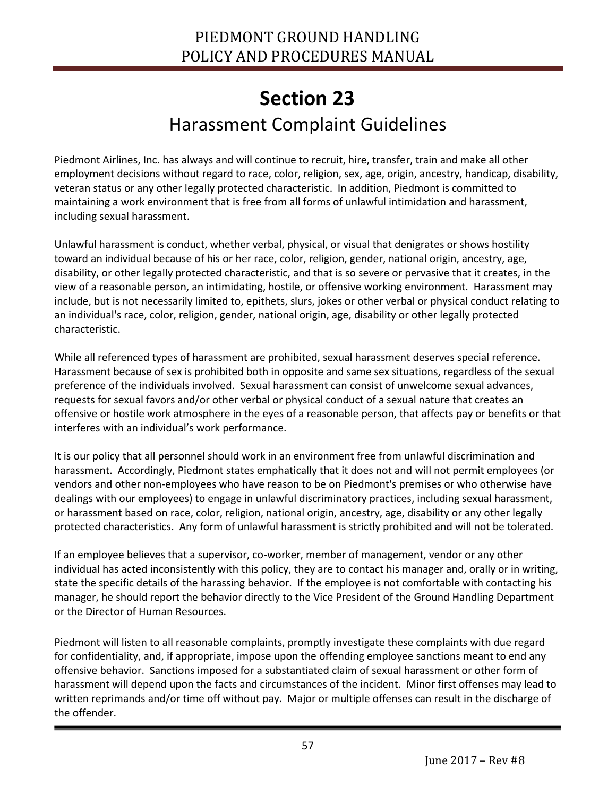### **Section 23** Harassment Complaint Guidelines

<span id="page-56-1"></span><span id="page-56-0"></span>Piedmont Airlines, Inc. has always and will continue to recruit, hire, transfer, train and make all other employment decisions without regard to race, color, religion, sex, age, origin, ancestry, handicap, disability, veteran status or any other legally protected characteristic. In addition, Piedmont is committed to maintaining a work environment that is free from all forms of unlawful intimidation and harassment, including sexual harassment.

Unlawful harassment is conduct, whether verbal, physical, or visual that denigrates or shows hostility toward an individual because of his or her race, color, religion, gender, national origin, ancestry, age, disability, or other legally protected characteristic, and that is so severe or pervasive that it creates, in the view of a reasonable person, an intimidating, hostile, or offensive working environment. Harassment may include, but is not necessarily limited to, epithets, slurs, jokes or other verbal or physical conduct relating to an individual's race, color, religion, gender, national origin, age, disability or other legally protected characteristic.

While all referenced types of harassment are prohibited, sexual harassment deserves special reference. Harassment because of sex is prohibited both in opposite and same sex situations, regardless of the sexual preference of the individuals involved. Sexual harassment can consist of unwelcome sexual advances, requests for sexual favors and/or other verbal or physical conduct of a sexual nature that creates an offensive or hostile work atmosphere in the eyes of a reasonable person, that affects pay or benefits or that interferes with an individual's work performance.

It is our policy that all personnel should work in an environment free from unlawful discrimination and harassment. Accordingly, Piedmont states emphatically that it does not and will not permit employees (or vendors and other non-employees who have reason to be on Piedmont's premises or who otherwise have dealings with our employees) to engage in unlawful discriminatory practices, including sexual harassment, or harassment based on race, color, religion, national origin, ancestry, age, disability or any other legally protected characteristics. Any form of unlawful harassment is strictly prohibited and will not be tolerated.

If an employee believes that a supervisor, co-worker, member of management, vendor or any other individual has acted inconsistently with this policy, they are to contact his manager and, orally or in writing, state the specific details of the harassing behavior. If the employee is not comfortable with contacting his manager, he should report the behavior directly to the Vice President of the Ground Handling Department or the Director of Human Resources.

Piedmont will listen to all reasonable complaints, promptly investigate these complaints with due regard for confidentiality, and, if appropriate, impose upon the offending employee sanctions meant to end any offensive behavior. Sanctions imposed for a substantiated claim of sexual harassment or other form of harassment will depend upon the facts and circumstances of the incident. Minor first offenses may lead to written reprimands and/or time off without pay. Major or multiple offenses can result in the discharge of the offender.